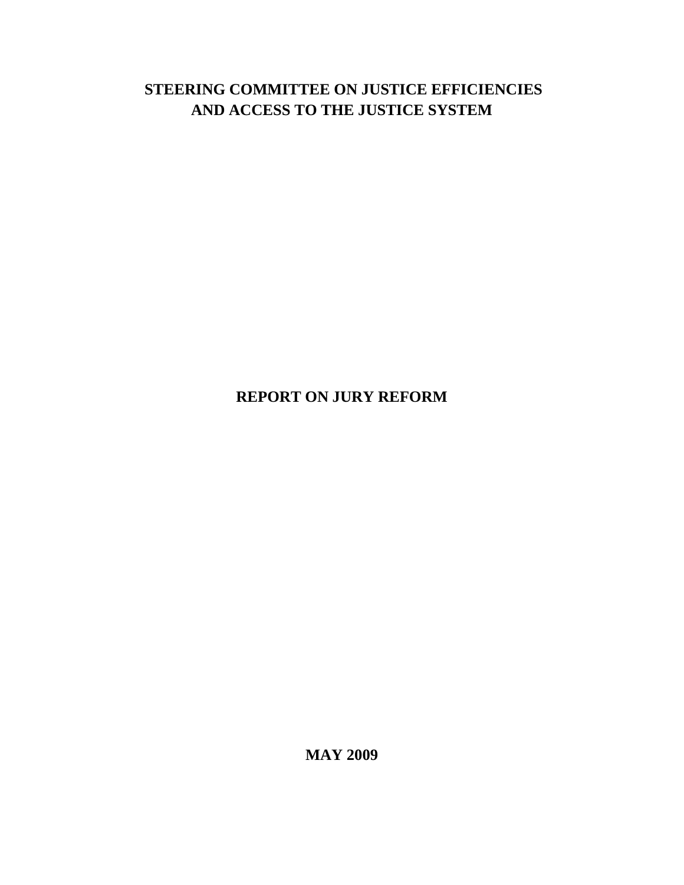# **STEERING COMMITTEE ON JUSTICE EFFICIENCIES AND ACCESS TO THE JUSTICE SYSTEM**

# **REPORT ON JURY REFORM**

**MAY 2009**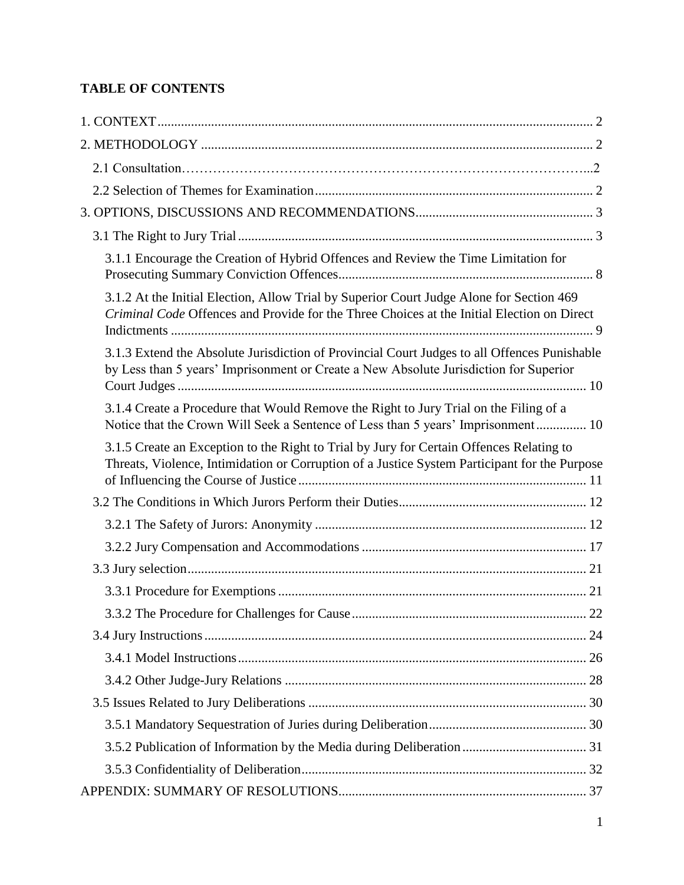# **TABLE OF CONTENTS**

| 3.1.1 Encourage the Creation of Hybrid Offences and Review the Time Limitation for                                                                                                            |  |
|-----------------------------------------------------------------------------------------------------------------------------------------------------------------------------------------------|--|
| 3.1.2 At the Initial Election, Allow Trial by Superior Court Judge Alone for Section 469<br><i>Criminal Code</i> Offences and Provide for the Three Choices at the Initial Election on Direct |  |
| 3.1.3 Extend the Absolute Jurisdiction of Provincial Court Judges to all Offences Punishable<br>by Less than 5 years' Imprisonment or Create a New Absolute Jurisdiction for Superior         |  |
| 3.1.4 Create a Procedure that Would Remove the Right to Jury Trial on the Filing of a<br>Notice that the Crown Will Seek a Sentence of Less than 5 years' Imprisonment 10                     |  |
| 3.1.5 Create an Exception to the Right to Trial by Jury for Certain Offences Relating to<br>Threats, Violence, Intimidation or Corruption of a Justice System Participant for the Purpose     |  |
|                                                                                                                                                                                               |  |
|                                                                                                                                                                                               |  |
|                                                                                                                                                                                               |  |
|                                                                                                                                                                                               |  |
|                                                                                                                                                                                               |  |
|                                                                                                                                                                                               |  |
|                                                                                                                                                                                               |  |
|                                                                                                                                                                                               |  |
|                                                                                                                                                                                               |  |
|                                                                                                                                                                                               |  |
|                                                                                                                                                                                               |  |
|                                                                                                                                                                                               |  |
|                                                                                                                                                                                               |  |
|                                                                                                                                                                                               |  |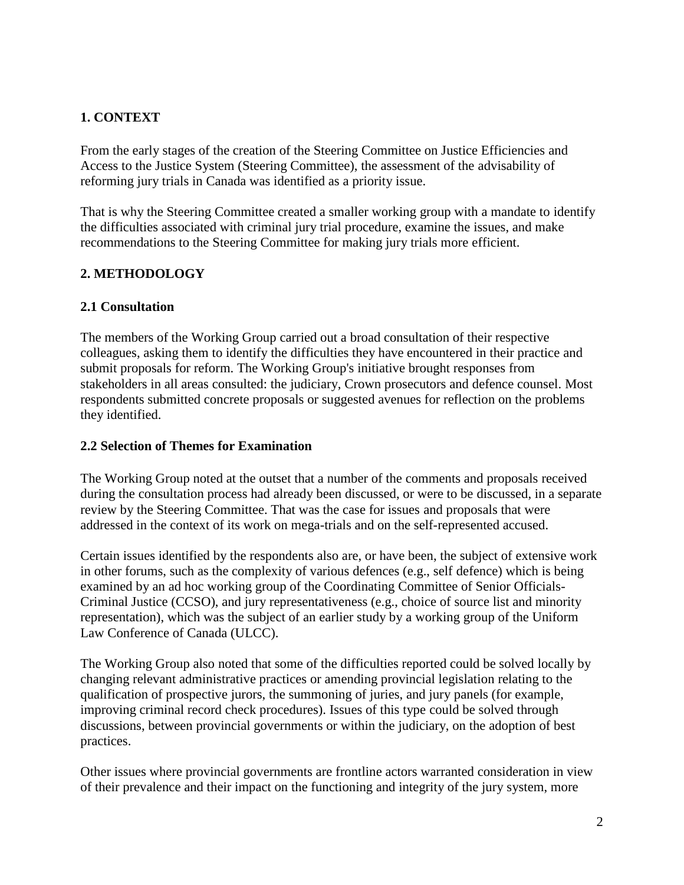# <span id="page-2-0"></span>**1. CONTEXT**

From the early stages of the creation of the Steering Committee on Justice Efficiencies and Access to the Justice System (Steering Committee), the assessment of the advisability of reforming jury trials in Canada was identified as a priority issue.

That is why the Steering Committee created a smaller working group with a mandate to identify the difficulties associated with criminal jury trial procedure, examine the issues, and make recommendations to the Steering Committee for making jury trials more efficient.

# <span id="page-2-1"></span>**2. METHODOLOGY**

## **2.1 Consultation**

The members of the Working Group carried out a broad consultation of their respective colleagues, asking them to identify the difficulties they have encountered in their practice and submit proposals for reform. The Working Group's initiative brought responses from stakeholders in all areas consulted: the judiciary, Crown prosecutors and defence counsel. Most respondents submitted concrete proposals or suggested avenues for reflection on the problems they identified.

#### <span id="page-2-2"></span>**2.2 Selection of Themes for Examination**

The Working Group noted at the outset that a number of the comments and proposals received during the consultation process had already been discussed, or were to be discussed, in a separate review by the Steering Committee. That was the case for issues and proposals that were addressed in the context of its work on mega-trials and on the self-represented accused.

Certain issues identified by the respondents also are, or have been, the subject of extensive work in other forums, such as the complexity of various defences (e.g., self defence) which is being examined by an ad hoc working group of the Coordinating Committee of Senior Officials-Criminal Justice (CCSO), and jury representativeness (e.g., choice of source list and minority representation), which was the subject of an earlier study by a working group of the Uniform Law Conference of Canada (ULCC).

The Working Group also noted that some of the difficulties reported could be solved locally by changing relevant administrative practices or amending provincial legislation relating to the qualification of prospective jurors, the summoning of juries, and jury panels (for example, improving criminal record check procedures). Issues of this type could be solved through discussions, between provincial governments or within the judiciary, on the adoption of best practices.

Other issues where provincial governments are frontline actors warranted consideration in view of their prevalence and their impact on the functioning and integrity of the jury system, more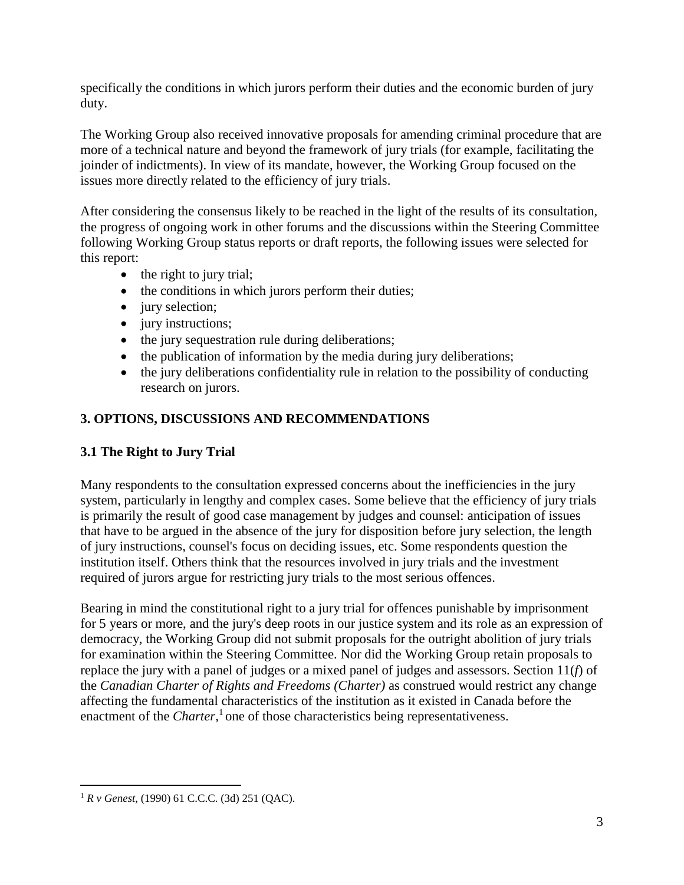specifically the conditions in which jurors perform their duties and the economic burden of jury duty.

The Working Group also received innovative proposals for amending criminal procedure that are more of a technical nature and beyond the framework of jury trials (for example, facilitating the joinder of indictments). In view of its mandate, however, the Working Group focused on the issues more directly related to the efficiency of jury trials.

After considering the consensus likely to be reached in the light of the results of its consultation, the progress of ongoing work in other forums and the discussions within the Steering Committee following Working Group status reports or draft reports, the following issues were selected for this report:

- $\bullet$  the right to jury trial;
- $\bullet$  the conditions in which jurors perform their duties;
- jury selection;
- jury instructions;
- the jury sequestration rule during deliberations;
- the publication of information by the media during jury deliberations;
- the jury deliberations confidentiality rule in relation to the possibility of conducting research on jurors.

# <span id="page-3-0"></span>**3. OPTIONS, DISCUSSIONS AND RECOMMENDATIONS**

# <span id="page-3-1"></span>**3.1 The Right to Jury Trial**

Many respondents to the consultation expressed concerns about the inefficiencies in the jury system, particularly in lengthy and complex cases. Some believe that the efficiency of jury trials is primarily the result of good case management by judges and counsel: anticipation of issues that have to be argued in the absence of the jury for disposition before jury selection, the length of jury instructions, counsel's focus on deciding issues, etc. Some respondents question the institution itself. Others think that the resources involved in jury trials and the investment required of jurors argue for restricting jury trials to the most serious offences.

Bearing in mind the constitutional right to a jury trial for offences punishable by imprisonment for 5 years or more, and the jury's deep roots in our justice system and its role as an expression of democracy, the Working Group did not submit proposals for the outright abolition of jury trials for examination within the Steering Committee. Nor did the Working Group retain proposals to replace the jury with a panel of judges or a mixed panel of judges and assessors. Section 11(*f*) of the *Canadian Charter of Rights and Freedoms (Charter)* as construed would restrict any change affecting the fundamental characteristics of the institution as it existed in Canada before the enactment of the *Charter*,<sup>1</sup> one of those characteristics being representativeness.

<sup>1</sup> *R v Genest*, (1990) 61 C.C.C. (3d) 251 (QAC).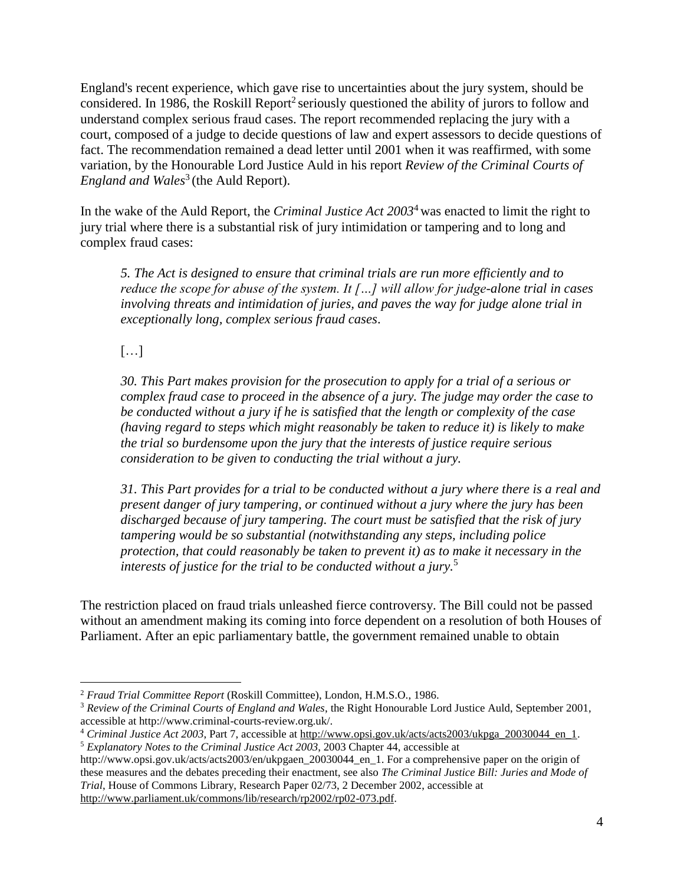England's recent experience, which gave rise to uncertainties about the jury system, should be considered. In 1986, the Roskill Report<sup>2</sup> seriously questioned the ability of jurors to follow and understand complex serious fraud cases. The report recommended replacing the jury with a court, composed of a judge to decide questions of law and expert assessors to decide questions of fact. The recommendation remained a dead letter until 2001 when it was reaffirmed, with some variation, by the Honourable Lord Justice Auld in his report *Review of the Criminal Courts of England and Wales*<sup>3</sup> (the Auld Report).

In the wake of the Auld Report, the *Criminal Justice Act 2003*<sup>4</sup> was enacted to limit the right to jury trial where there is a substantial risk of jury intimidation or tampering and to long and complex fraud cases:

*5. The Act is designed to ensure that criminal trials are run more efficiently and to reduce the scope for abuse of the system. It [...] will allow for judge-alone trial in cases involving threats and intimidation of juries, and paves the way for judge alone trial in exceptionally long, complex serious fraud cases*.

[…]

 $\overline{a}$ 

*30. This Part makes provision for the prosecution to apply for a trial of a serious or complex fraud case to proceed in the absence of a jury. The judge may order the case to be conducted without a jury if he is satisfied that the length or complexity of the case (having regard to steps which might reasonably be taken to reduce it) is likely to make the trial so burdensome upon the jury that the interests of justice require serious consideration to be given to conducting the trial without a jury.*

*31. This Part provides for a trial to be conducted without a jury where there is a real and present danger of jury tampering, or continued without a jury where the jury has been discharged because of jury tampering. The court must be satisfied that the risk of jury tampering would be so substantial (notwithstanding any steps, including police protection, that could reasonably be taken to prevent it) as to make it necessary in the interests of justice for the trial to be conducted without a jury.*<sup>5</sup>

The restriction placed on fraud trials unleashed fierce controversy. The Bill could not be passed without an amendment making its coming into force dependent on a resolution of both Houses of Parliament. After an epic parliamentary battle, the government remained unable to obtain

<sup>2</sup> *Fraud Trial Committee Report* (Roskill Committee), London, H.M.S.O., 1986.

<sup>3</sup> *Review of the Criminal Courts of England and Wales*, the Right Honourable Lord Justice Auld, September 2001, accessible at http://www.criminal-courts-review.org.uk/.

<sup>4</sup> *Criminal Justice Act 2003*, Part 7, accessible at [http://www.opsi.gov.uk/acts/acts2003/ukpga\\_20030044\\_en\\_1.](http://www.opsi.gov.uk/acts/acts2003/ukpga_20030044_en_1) <sup>5</sup> *Explanatory Notes to the Criminal Justice Act 2003*, 2003 Chapter 44, accessible at

http://www.opsi.gov.uk/acts/acts2003/en/ukpgaen\_20030044\_en\_1. For a comprehensive paper on the origin of these measures and the debates preceding their enactment, see also *The Criminal Justice Bill: Juries and Mode of Trial*, House of Commons Library, Research Paper 02/73, 2 December 2002, accessible at [http://www.parliament.uk/commons/lib/research/rp2002/rp02-073.pdf.](http://www.parliament.uk/commons/lib/research/rp2002/rp02-073.pdf)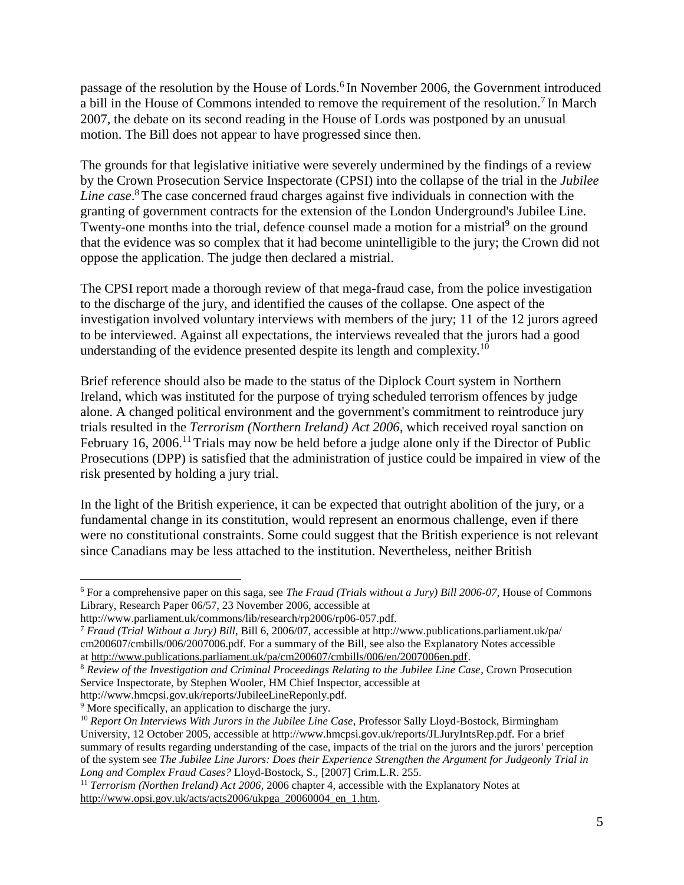passage of the resolution by the House of Lords.<sup>6</sup> In November 2006, the Government introduced a bill in the House of Commons intended to remove the requirement of the resolution.<sup>7</sup> In March 2007, the debate on its second reading in the House of Lords was postponed by an unusual motion. The Bill does not appear to have progressed since then.

The grounds for that legislative initiative were severely undermined by the findings of a review by the Crown Prosecution Service Inspectorate (CPSI) into the collapse of the trial in the *Jubilee Line case*. <sup>8</sup>The case concerned fraud charges against five individuals in connection with the granting of government contracts for the extension of the London Underground's Jubilee Line. Twenty-one months into the trial, defence counsel made a motion for a mistrial<sup>9</sup> on the ground that the evidence was so complex that it had become unintelligible to the jury; the Crown did not oppose the application. The judge then declared a mistrial.

The CPSI report made a thorough review of that mega-fraud case, from the police investigation to the discharge of the jury, and identified the causes of the collapse. One aspect of the investigation involved voluntary interviews with members of the jury; 11 of the 12 jurors agreed to be interviewed. Against all expectations, the interviews revealed that the jurors had a good understanding of the evidence presented despite its length and complexity.<sup>10</sup>

Brief reference should also be made to the status of the Diplock Court system in Northern Ireland, which was instituted for the purpose of trying scheduled terrorism offences by judge alone. A changed political environment and the government's commitment to reintroduce jury trials resulted in the *Terrorism (Northern Ireland) Act 2006*, which received royal sanction on February 16, 2006.<sup>11</sup> Trials may now be held before a judge alone only if the Director of Public Prosecutions (DPP) is satisfied that the administration of justice could be impaired in view of the risk presented by holding a jury trial.

In the light of the British experience, it can be expected that outright abolition of the jury, or a fundamental change in its constitution, would represent an enormous challenge, even if there were no constitutional constraints. Some could suggest that the British experience is not relevant since Canadians may be less attached to the institution. Nevertheless, neither British

<sup>6</sup> For a comprehensive paper on this saga, see *The Fraud (Trials without a Jury) Bill 2006-07*, House of Commons Library, Research Paper 06/57, 23 November 2006, accessible at

http://www.parliament.uk/commons/lib/research/rp2006/rp06-057.pdf.

<sup>7</sup> *Fraud (Trial Without a Jury) Bill*, Bill 6, 2006/07, accessible at http://www.publications.parliament.uk/pa/ cm200607/cmbills/006/2007006.pdf. For a summary of the Bill, see also the Explanatory Notes accessible a[t http://www.publications.parliament.uk/pa/cm200607/cmbills/006/en/2007006en.pdf.](http://www.publications.parliament.uk/pa/cm200607/cmbills/006/en/2007006en.pdf)

<sup>8</sup> *Review of the Investigation and Criminal Proceedings Relating to the Jubilee Line Case*, Crown Prosecution Service Inspectorate, by Stephen Wooler, HM Chief Inspector, accessible at

http://www.hmcpsi.gov.uk/reports/JubileeLineReponly.pdf.

<sup>&</sup>lt;sup>9</sup> More specifically, an application to discharge the jury.

<sup>10</sup> *Report On Interviews With Jurors in the Jubilee Line Case*, Professor Sally Lloyd-Bostock, Birmingham University, 12 October 2005, accessible at http://www.hmcpsi.gov.uk/reports/JLJuryIntsRep.pdf. For a brief summary of results regarding understanding of the case, impacts of the trial on the jurors and the jurors' perception of the system see *The Jubilee Line Jurors: Does their Experience Strengthen the Argument for Judgeonly Trial in Long and Complex Fraud Cases?* Lloyd-Bostock, S., [2007] Crim.L.R. 255.

<sup>11</sup> *Terrorism (Northen Ireland) Act 2006*, 2006 chapter 4, accessible with the Explanatory Notes at [http://www.opsi.gov.uk/acts/acts2006/ukpga\\_20060004\\_en\\_1.htm.](http://www.opsi.gov.uk/acts/acts2006/ukpga_20060004_en_1.htm)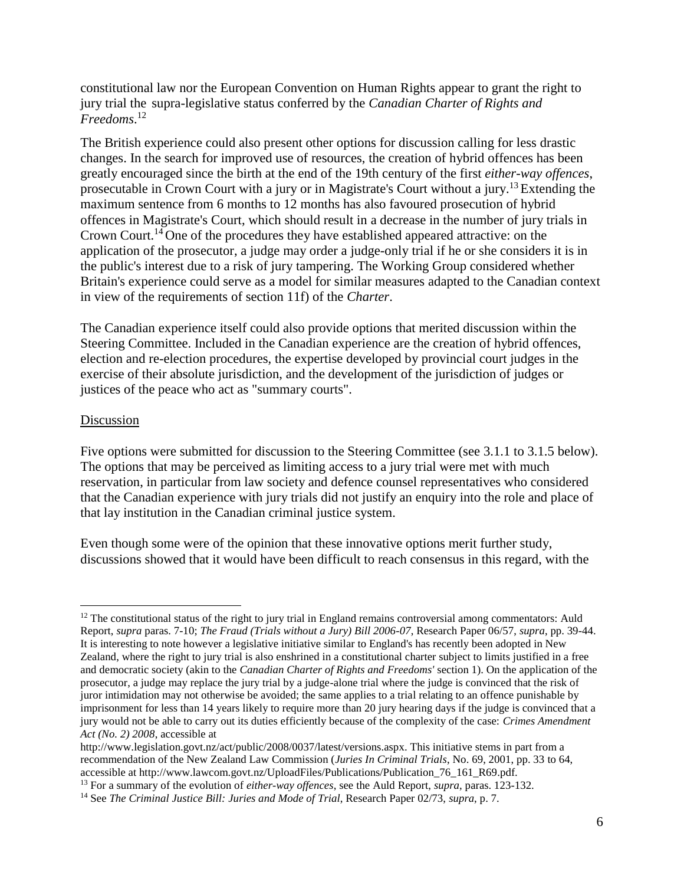constitutional law nor the European Convention on Human Rights appear to grant the right to jury trial the supra-legislative status conferred by the *Canadian Charter of Rights and Freedoms*. 12

The British experience could also present other options for discussion calling for less drastic changes. In the search for improved use of resources, the creation of hybrid offences has been greatly encouraged since the birth at the end of the 19th century of the first *either-way offences*, prosecutable in Crown Court with a jury or in Magistrate's Court without a jury.<sup>13</sup> Extending the maximum sentence from 6 months to 12 months has also favoured prosecution of hybrid offences in Magistrate's Court, which should result in a decrease in the number of jury trials in Crown Court.<sup>14</sup> One of the procedures they have established appeared attractive: on the application of the prosecutor, a judge may order a judge-only trial if he or she considers it is in the public's interest due to a risk of jury tampering. The Working Group considered whether Britain's experience could serve as a model for similar measures adapted to the Canadian context in view of the requirements of section 11f) of the *Charter*.

The Canadian experience itself could also provide options that merited discussion within the Steering Committee. Included in the Canadian experience are the creation of hybrid offences, election and re-election procedures, the expertise developed by provincial court judges in the exercise of their absolute jurisdiction, and the development of the jurisdiction of judges or justices of the peace who act as "summary courts".

#### Discussion

Five options were submitted for discussion to the Steering Committee (see 3.1.1 to 3.1.5 below). The options that may be perceived as limiting access to a jury trial were met with much reservation, in particular from law society and defence counsel representatives who considered that the Canadian experience with jury trials did not justify an enquiry into the role and place of that lay institution in the Canadian criminal justice system.

Even though some were of the opinion that these innovative options merit further study, discussions showed that it would have been difficult to reach consensus in this regard, with the

 $\overline{a}$  $12$  The constitutional status of the right to jury trial in England remains controversial among commentators: Auld Report, *supra* paras. 7-10; *The Fraud (Trials without a Jury) Bill 2006-07*, Research Paper 06/57, *supra*, pp. 39-44. It is interesting to note however a legislative initiative similar to England's has recently been adopted in New Zealand, where the right to jury trial is also enshrined in a constitutional charter subject to limits justified in a free and democratic society (akin to the *Canadian Charter of Rights and Freedoms'* section 1). On the application of the prosecutor, a judge may replace the jury trial by a judge-alone trial where the judge is convinced that the risk of juror intimidation may not otherwise be avoided; the same applies to a trial relating to an offence punishable by imprisonment for less than 14 years likely to require more than 20 jury hearing days if the judge is convinced that a jury would not be able to carry out its duties efficiently because of the complexity of the case: *Crimes Amendment Act (No. 2) 2008*, accessible at

http://www.legislation.govt.nz/act/public/2008/0037/latest/versions.aspx. This initiative stems in part from a recommendation of the New Zealand Law Commission (*Juries In Criminal Trials*, No. 69, 2001, pp. 33 to 64, accessible at http://www.lawcom.govt.nz/UploadFiles/Publications/Publication\_76\_161\_R69.pdf.

<sup>13</sup> For a summary of the evolution of *either-way offences*, see the Auld Report, *supra*, paras. 123-132.

<sup>14</sup> See *The Criminal Justice Bill: Juries and Mode of Trial*, Research Paper 02/73, *supra*, p. 7.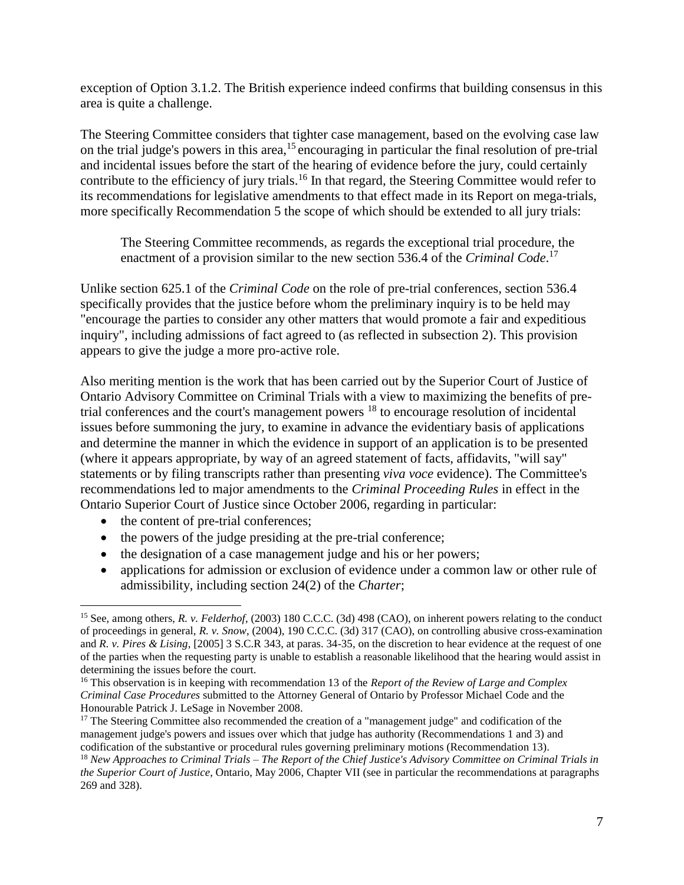exception of Option 3.1.2. The British experience indeed confirms that building consensus in this area is quite a challenge.

The Steering Committee considers that tighter case management, based on the evolving case law on the trial judge's powers in this area,<sup>15</sup> encouraging in particular the final resolution of pre-trial and incidental issues before the start of the hearing of evidence before the jury, could certainly contribute to the efficiency of jury trials.<sup>16</sup> In that regard, the Steering Committee would refer to its recommendations for legislative amendments to that effect made in its Report on mega-trials, more specifically Recommendation 5 the scope of which should be extended to all jury trials:

The Steering Committee recommends, as regards the exceptional trial procedure, the enactment of a provision similar to the new section 536.4 of the *Criminal Code*. 17

Unlike section 625.1 of the *Criminal Code* on the role of pre-trial conferences, section 536.4 specifically provides that the justice before whom the preliminary inquiry is to be held may "encourage the parties to consider any other matters that would promote a fair and expeditious inquiry", including admissions of fact agreed to (as reflected in subsection 2). This provision appears to give the judge a more pro-active role.

Also meriting mention is the work that has been carried out by the Superior Court of Justice of Ontario Advisory Committee on Criminal Trials with a view to maximizing the benefits of pretrial conferences and the court's management powers <sup>18</sup> to encourage resolution of incidental issues before summoning the jury, to examine in advance the evidentiary basis of applications and determine the manner in which the evidence in support of an application is to be presented (where it appears appropriate, by way of an agreed statement of facts, affidavits, "will say" statements or by filing transcripts rather than presenting *viva voce* evidence). The Committee's recommendations led to major amendments to the *Criminal Proceeding Rules* in effect in the Ontario Superior Court of Justice since October 2006, regarding in particular:

• the content of pre-trial conferences;

- the powers of the judge presiding at the pre-trial conference;
- the designation of a case management judge and his or her powers;
- applications for admission or exclusion of evidence under a common law or other rule of admissibility, including section 24(2) of the *Charter*;

<sup>15</sup> See, among others, *R. v. Felderhof*, (2003) 180 C.C.C. (3d) 498 (CAO), on inherent powers relating to the conduct of proceedings in general, *R. v. Snow*, (2004), 190 C.C.C. (3d) 317 (CAO), on controlling abusive cross-examination and *R. v. Pires & Lising*, [2005] 3 S.C.R 343, at paras. 34-35, on the discretion to hear evidence at the request of one of the parties when the requesting party is unable to establish a reasonable likelihood that the hearing would assist in determining the issues before the court.

<sup>16</sup> This observation is in keeping with recommendation 13 of the *Report of the Review of Large and Complex Criminal Case Procedures* submitted to the Attorney General of Ontario by Professor Michael Code and the Honourable Patrick J. LeSage in November 2008.

<sup>&</sup>lt;sup>17</sup> The Steering Committee also recommended the creation of a "management judge" and codification of the management judge's powers and issues over which that judge has authority (Recommendations 1 and 3) and codification of the substantive or procedural rules governing preliminary motions (Recommendation 13).

<sup>18</sup> *New Approaches to Criminal Trials – The Report of the Chief Justice's Advisory Committee on Criminal Trials in the Superior Court of Justice*, Ontario, May 2006, Chapter VII (see in particular the recommendations at paragraphs 269 and 328).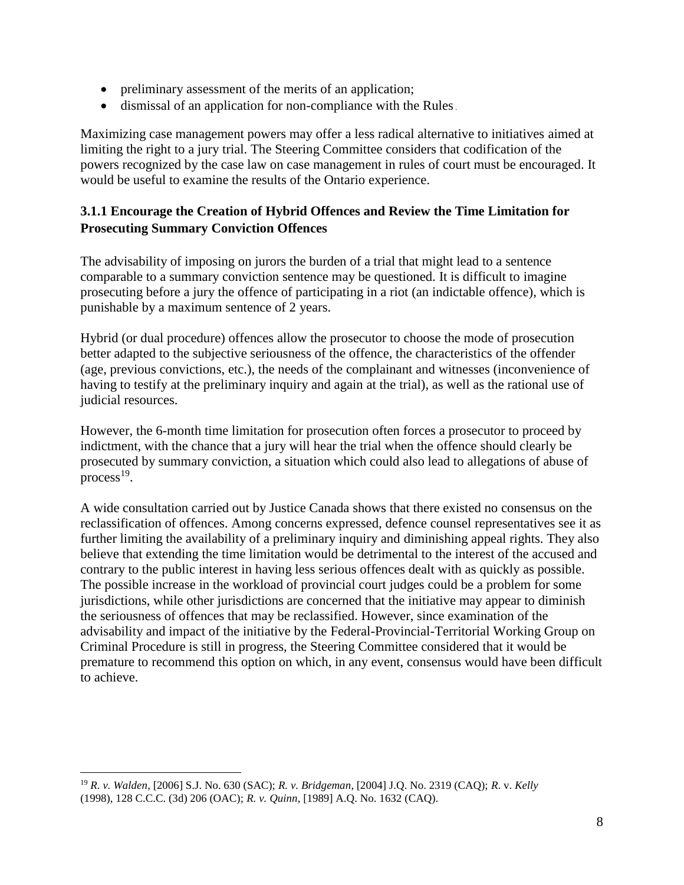- preliminary assessment of the merits of an application;
- dismissal of an application for non-compliance with the Rules.

Maximizing case management powers may offer a less radical alternative to initiatives aimed at limiting the right to a jury trial. The Steering Committee considers that codification of the powers recognized by the case law on case management in rules of court must be encouraged. It would be useful to examine the results of the Ontario experience.

## <span id="page-8-0"></span>**3.1.1 Encourage the Creation of Hybrid Offences and Review the Time Limitation for Prosecuting Summary Conviction Offences**

The advisability of imposing on jurors the burden of a trial that might lead to a sentence comparable to a summary conviction sentence may be questioned. It is difficult to imagine prosecuting before a jury the offence of participating in a riot (an indictable offence), which is punishable by a maximum sentence of 2 years.

Hybrid (or dual procedure) offences allow the prosecutor to choose the mode of prosecution better adapted to the subjective seriousness of the offence, the characteristics of the offender (age, previous convictions, etc.), the needs of the complainant and witnesses (inconvenience of having to testify at the preliminary inquiry and again at the trial), as well as the rational use of judicial resources.

However, the 6-month time limitation for prosecution often forces a prosecutor to proceed by indictment, with the chance that a jury will hear the trial when the offence should clearly be prosecuted by summary conviction, a situation which could also lead to allegations of abuse of  $process<sup>19</sup>$ .

A wide consultation carried out by Justice Canada shows that there existed no consensus on the reclassification of offences. Among concerns expressed, defence counsel representatives see it as further limiting the availability of a preliminary inquiry and diminishing appeal rights. They also believe that extending the time limitation would be detrimental to the interest of the accused and contrary to the public interest in having less serious offences dealt with as quickly as possible. The possible increase in the workload of provincial court judges could be a problem for some jurisdictions, while other jurisdictions are concerned that the initiative may appear to diminish the seriousness of offences that may be reclassified. However, since examination of the advisability and impact of the initiative by the Federal-Provincial-Territorial Working Group on Criminal Procedure is still in progress, the Steering Committee considered that it would be premature to recommend this option on which, in any event, consensus would have been difficult to achieve.

<span id="page-8-1"></span><sup>19</sup> *R. v. Walden*, [2006] S.J. No. 630 (SAC); *R. v. Bridgeman*, [2004] J.Q. No. 2319 (CAQ); *R*. v. *Kelly* (1998), 128 C.C.C. (3d) 206 (OAC); *R. v. Quinn*, [1989] A.Q. No. 1632 (CAQ).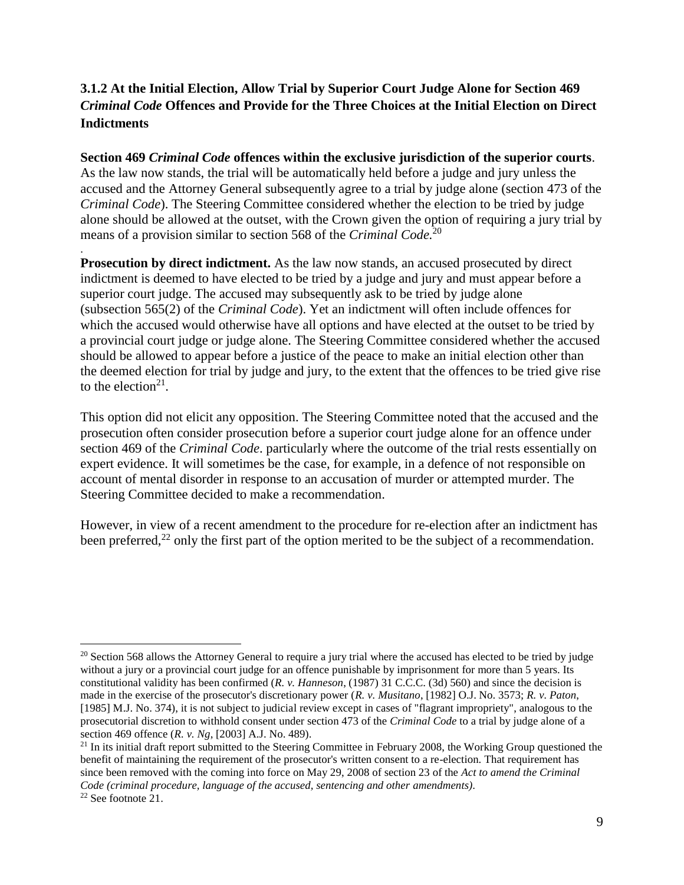# **3.1.2 At the Initial Election, Allow Trial by Superior Court Judge Alone for Section 469**  *Criminal Code* **Offences and Provide for the Three Choices at the Initial Election on Direct Indictments**

**Section 469** *Criminal Code* **offences within the exclusive jurisdiction of the superior courts**. As the law now stands, the trial will be automatically held before a judge and jury unless the accused and the Attorney General subsequently agree to a trial by judge alone (section 473 of the *Criminal Code*). The Steering Committee considered whether the election to be tried by judge alone should be allowed at the outset, with the Crown given the option of requiring a jury trial by means of a provision similar to section 568 of the *Criminal Code.* 20

. **Prosecution by direct indictment.** As the law now stands, an accused prosecuted by direct indictment is deemed to have elected to be tried by a judge and jury and must appear before a superior court judge. The accused may subsequently ask to be tried by judge alone (subsection 565(2) of the *Criminal Code*). Yet an indictment will often include offences for which the accused would otherwise have all options and have elected at the outset to be tried by a provincial court judge or judge alone. The Steering Committee considered whether the accused should be allowed to appear before a justice of the peace to make an initial election other than the deemed election for trial by judge and jury, to the extent that the offences to be tried give rise to the election<sup>21</sup>.

This option did not elicit any opposition. The Steering Committee noted that the accused and the prosecution often consider prosecution before a superior court judge alone for an offence under section 469 of the *Criminal Code*. particularly where the outcome of the trial rests essentially on expert evidence. It will sometimes be the case, for example, in a defence of not responsible on account of mental disorder in response to an accusation of murder or attempted murder. The Steering Committee decided to make a recommendation.

<span id="page-9-0"></span>However, in view of a recent amendment to the procedure for re-election after an indictment has been preferred,<sup>22</sup> only the first part of the option merited to be the subject of a recommendation.

 $\overline{a}$  $20$  Section 568 allows the Attorney General to require a jury trial where the accused has elected to be tried by judge without a jury or a provincial court judge for an offence punishable by imprisonment for more than 5 years. Its constitutional validity has been confirmed (*R. v. Hanneson*, (1987) 31 C.C.C. (3d) 560) and since the decision is made in the exercise of the prosecutor's discretionary power (*R. v. Musitano*, [1982] O.J. No. 3573; *R. v. Paton*, [1985] M.J. No. 374), it is not subject to judicial review except in cases of "flagrant impropriety", analogous to the prosecutorial discretion to withhold consent under section 473 of the *Criminal Code* to a trial by judge alone of a section 469 offence (*R. v. Ng*, [2003] A.J. No. 489).

 $^{21}$  In its initial draft report submitted to the Steering Committee in February 2008, the Working Group questioned the benefit of maintaining the requirement of the prosecutor's written consent to a re-election. That requirement has since been removed with the coming into force on May 29, 2008 of section 23 of the *Act to amend the Criminal Code (criminal procedure, language of the accused, sentencing and other amendments)*.

 $22$  See footnote 21.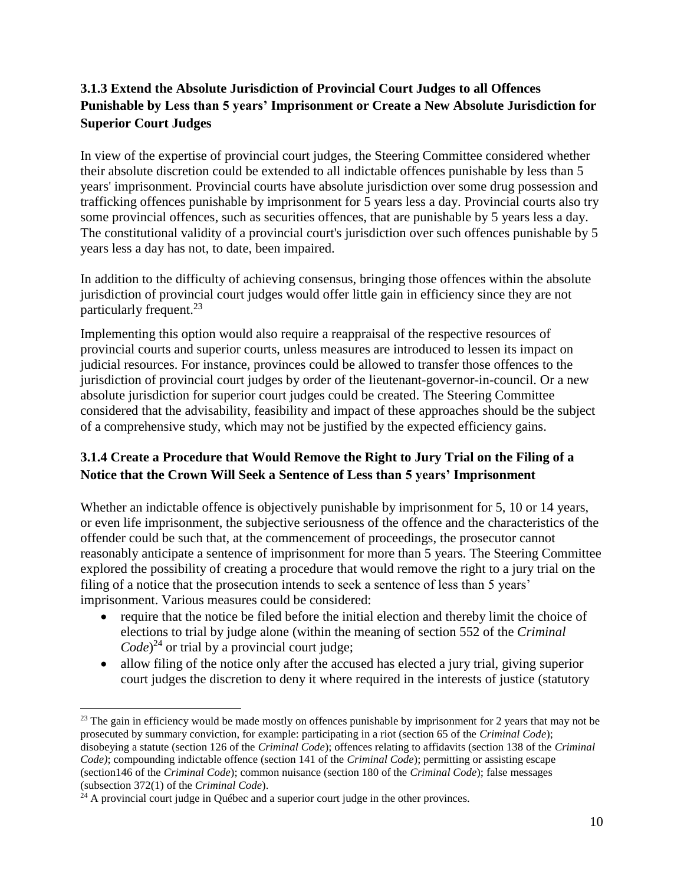# **3.1.3 Extend the Absolute Jurisdiction of Provincial Court Judges to all Offences Punishable by Less than 5 years' Imprisonment or Create a New Absolute Jurisdiction for Superior Court Judges**

In view of the expertise of provincial court judges, the Steering Committee considered whether their absolute discretion could be extended to all indictable offences punishable by less than 5 years' imprisonment. Provincial courts have absolute jurisdiction over some drug possession and trafficking offences punishable by imprisonment for 5 years less a day. Provincial courts also try some provincial offences, such as securities offences, that are punishable by 5 years less a day. The constitutional validity of a provincial court's jurisdiction over such offences punishable by 5 years less a day has not, to date, been impaired.

In addition to the difficulty of achieving consensus, bringing those offences within the absolute jurisdiction of provincial court judges would offer little gain in efficiency since they are not particularly frequent.<sup>23</sup>

Implementing this option would also require a reappraisal of the respective resources of provincial courts and superior courts, unless measures are introduced to lessen its impact on judicial resources. For instance, provinces could be allowed to transfer those offences to the jurisdiction of provincial court judges by order of the lieutenant-governor-in-council. Or a new absolute jurisdiction for superior court judges could be created. The Steering Committee considered that the advisability, feasibility and impact of these approaches should be the subject of a comprehensive study, which may not be justified by the expected efficiency gains.

# <span id="page-10-0"></span>**3.1.4 Create a Procedure that Would Remove the Right to Jury Trial on the Filing of a Notice that the Crown Will Seek a Sentence of Less than 5 years' Imprisonment**

Whether an indictable offence is objectively punishable by imprisonment for 5, 10 or 14 years, or even life imprisonment, the subjective seriousness of the offence and the characteristics of the offender could be such that, at the commencement of proceedings, the prosecutor cannot reasonably anticipate a sentence of imprisonment for more than 5 years. The Steering Committee explored the possibility of creating a procedure that would remove the right to a jury trial on the filing of a notice that the prosecution intends to seek a sentence of less than 5 years' imprisonment. Various measures could be considered:

- require that the notice be filed before the initial election and thereby limit the choice of elections to trial by judge alone (within the meaning of section 552 of the *Criminal Code*) <sup>24</sup> or trial by a provincial court judge;
- allow filing of the notice only after the accused has elected a jury trial, giving superior court judges the discretion to deny it where required in the interests of justice (statutory

<sup>&</sup>lt;sup>23</sup> The gain in efficiency would be made mostly on offences punishable by imprisonment for 2 years that may not be prosecuted by summary conviction, for example: participating in a riot (section 65 of the *Criminal Code*); disobeying a statute (section 126 of the *Criminal Code*); offences relating to affidavits (section 138 of the *Criminal Code)*; compounding indictable offence (section 141 of the *Criminal Code*); permitting or assisting escape (section146 of the *Criminal Code*); common nuisance (section 180 of the *Criminal Code*); false messages (subsection 372(1) of the *Criminal Code*).

 $24$  A provincial court judge in Québec and a superior court judge in the other provinces.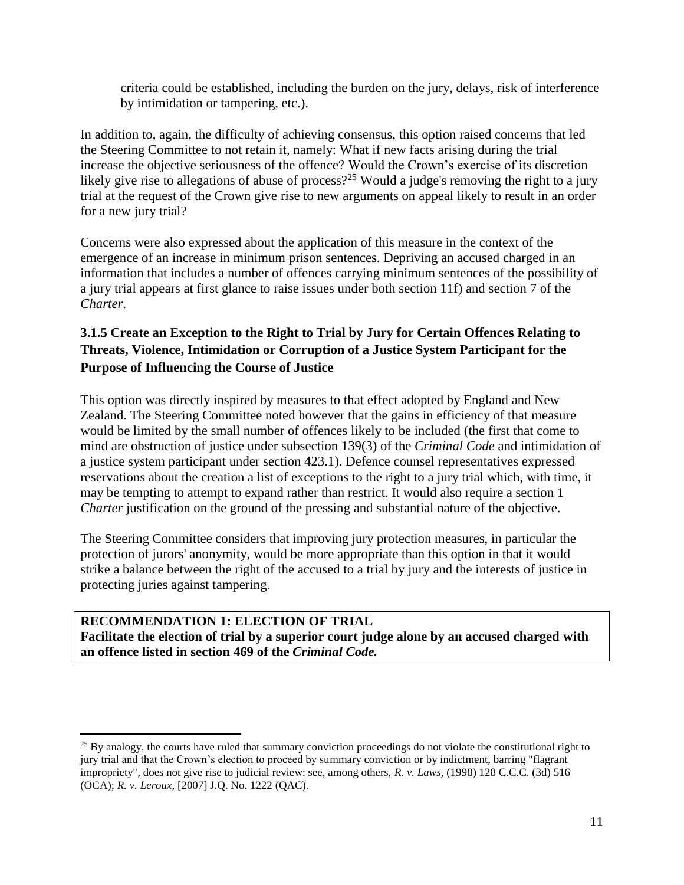criteria could be established, including the burden on the jury, delays, risk of interference by intimidation or tampering, etc.).

In addition to, again, the difficulty of achieving consensus, this option raised concerns that led the Steering Committee to not retain it, namely: What if new facts arising during the trial increase the objective seriousness of the offence? Would the Crown's exercise of its discretion likely give rise to allegations of abuse of process?<sup>25</sup> Would a judge's removing the right to a jury trial at the request of the Crown give rise to new arguments on appeal likely to result in an order for a new jury trial?

Concerns were also expressed about the application of this measure in the context of the emergence of an increase in minimum prison sentences. Depriving an accused charged in an information that includes a number of offences carrying minimum sentences of the possibility of a jury trial appears at first glance to raise issues under both section 11f) and section 7 of the *Charter*.

# <span id="page-11-0"></span>**3.1.5 Create an Exception to the Right to Trial by Jury for Certain Offences Relating to Threats, Violence, Intimidation or Corruption of a Justice System Participant for the Purpose of Influencing the Course of Justice**

This option was directly inspired by measures to that effect adopted by England and New Zealand. The Steering Committee noted however that the gains in efficiency of that measure would be limited by the small number of offences likely to be included (the first that come to mind are obstruction of justice under subsection 139(3) of the *Criminal Code* and intimidation of a justice system participant under section 423.1). Defence counsel representatives expressed reservations about the creation a list of exceptions to the right to a jury trial which, with time, it may be tempting to attempt to expand rather than restrict. It would also require a section 1 *Charter* justification on the ground of the pressing and substantial nature of the objective.

The Steering Committee considers that improving jury protection measures, in particular the protection of jurors' anonymity, would be more appropriate than this option in that it would strike a balance between the right of the accused to a trial by jury and the interests of justice in protecting juries against tampering.

**RECOMMENDATION 1: ELECTION OF TRIAL Facilitate the election of trial by a superior court judge alone by an accused charged with an offence listed in section 469 of the** *Criminal Code.*

 $^{25}$  By analogy, the courts have ruled that summary conviction proceedings do not violate the constitutional right to jury trial and that the Crown's election to proceed by summary conviction or by indictment, barring "flagrant impropriety", does not give rise to judicial review: see, among others, *R. v. Laws*, (1998) 128 C.C.C. (3d) 516 (OCA); *R. v. Leroux*, [2007] J.Q. No. 1222 (QAC).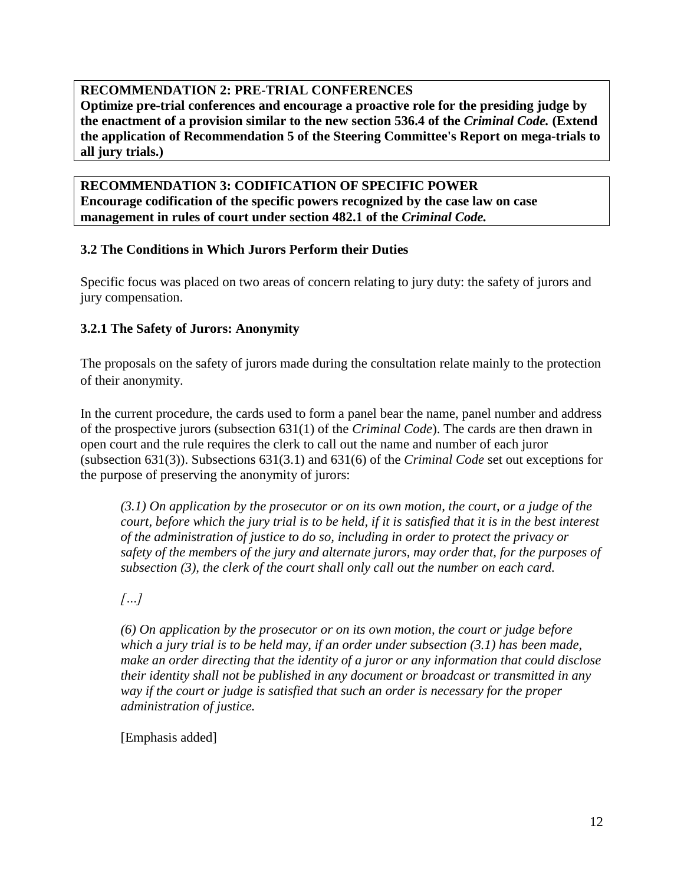## **RECOMMENDATION 2: PRE-TRIAL CONFERENCES**

**Optimize pre-trial conferences and encourage a proactive role for the presiding judge by the enactment of a provision similar to the new section 536.4 of the** *Criminal Code.* **(Extend the application of Recommendation 5 of the Steering Committee's Report on mega-trials to all jury trials.)**

**RECOMMENDATION 3: CODIFICATION OF SPECIFIC POWER Encourage codification of the specific powers recognized by the case law on case management in rules of court under section 482.1 of the** *Criminal Code.*

## <span id="page-12-0"></span>**3.2 The Conditions in Which Jurors Perform their Duties**

Specific focus was placed on two areas of concern relating to jury duty: the safety of jurors and jury compensation.

## <span id="page-12-1"></span>**3.2.1 The Safety of Jurors: Anonymity**

The proposals on the safety of jurors made during the consultation relate mainly to the protection of their anonymity.

In the current procedure, the cards used to form a panel bear the name, panel number and address of the prospective jurors (subsection 631(1) of the *Criminal Code*). The cards are then drawn in open court and the rule requires the clerk to call out the name and number of each juror (subsection 631(3)). Subsections 631(3.1) and 631(6) of the *Criminal Code* set out exceptions for the purpose of preserving the anonymity of jurors:

*(3.1) On application by the prosecutor or on its own motion, the court, or a judge of the court, before which the jury trial is to be held, if it is satisfied that it is in the best interest of the administration of justice to do so, including in order to protect the privacy or safety of the members of the jury and alternate jurors, may order that, for the purposes of subsection (3), the clerk of the court shall only call out the number on each card.*

*[…]*

*(6) On application by the prosecutor or on its own motion, the court or judge before which a jury trial is to be held may, if an order under subsection (3.1) has been made, make an order directing that the identity of a juror or any information that could disclose their identity shall not be published in any document or broadcast or transmitted in any way if the court or judge is satisfied that such an order is necessary for the proper administration of justice.*

[Emphasis added]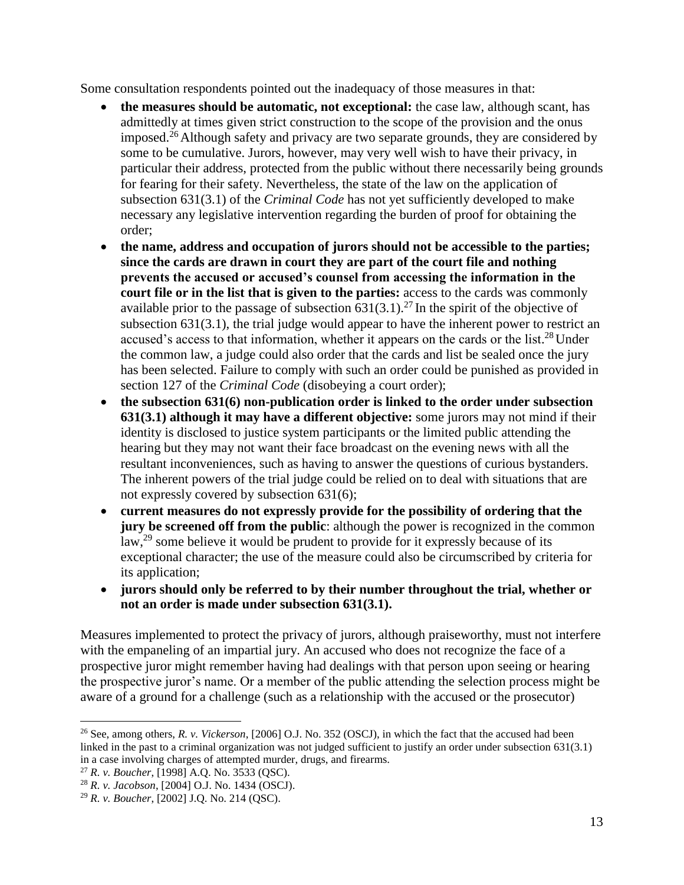Some consultation respondents pointed out the inadequacy of those measures in that:

- **the measures should be automatic, not exceptional:** the case law, although scant, has admittedly at times given strict construction to the scope of the provision and the onus imposed.<sup>26</sup> Although safety and privacy are two separate grounds, they are considered by some to be cumulative. Jurors, however, may very well wish to have their privacy, in particular their address, protected from the public without there necessarily being grounds for fearing for their safety. Nevertheless, the state of the law on the application of subsection 631(3.1) of the *Criminal Code* has not yet sufficiently developed to make necessary any legislative intervention regarding the burden of proof for obtaining the order;
- **the name, address and occupation of jurors should not be accessible to the parties; since the cards are drawn in court they are part of the court file and nothing prevents the accused or accused's counsel from accessing the information in the court file or in the list that is given to the parties:** access to the cards was commonly available prior to the passage of subsection  $631(3.1)$ <sup>27</sup> In the spirit of the objective of subsection 631(3.1), the trial judge would appear to have the inherent power to restrict an accused's access to that information, whether it appears on the cards or the list.<sup>28</sup> Under the common law, a judge could also order that the cards and list be sealed once the jury has been selected. Failure to comply with such an order could be punished as provided in section 127 of the *Criminal Code* (disobeying a court order);
- **the subsection 631(6) non-publication order is linked to the order under subsection 631(3.1) although it may have a different objective:** some jurors may not mind if their identity is disclosed to justice system participants or the limited public attending the hearing but they may not want their face broadcast on the evening news with all the resultant inconveniences, such as having to answer the questions of curious bystanders. The inherent powers of the trial judge could be relied on to deal with situations that are not expressly covered by subsection 631(6);
- **current measures do not expressly provide for the possibility of ordering that the jury be screened off from the public**: although the power is recognized in the common law,<sup>29</sup> some believe it would be prudent to provide for it expressly because of its exceptional character; the use of the measure could also be circumscribed by criteria for its application;
- **jurors should only be referred to by their number throughout the trial, whether or not an order is made under subsection 631(3.1).**

Measures implemented to protect the privacy of jurors, although praiseworthy, must not interfere with the empaneling of an impartial jury. An accused who does not recognize the face of a prospective juror might remember having had dealings with that person upon seeing or hearing the prospective juror's name. Or a member of the public attending the selection process might be aware of a ground for a challenge (such as a relationship with the accused or the prosecutor)

<sup>27</sup> *R. v. Boucher*, [1998] A.Q. No. 3533 (QSC).

<sup>26</sup> See, among others, *R. v. Vickerson*, [2006] O.J. No. 352 (OSCJ), in which the fact that the accused had been linked in the past to a criminal organization was not judged sufficient to justify an order under subsection 631(3.1) in a case involving charges of attempted murder, drugs, and firearms.

<sup>28</sup> *R. v. Jacobson*, [2004] O.J. No. 1434 (OSCJ).

<sup>29</sup> *R. v. Boucher*, [2002] J.Q. No. 214 (QSC).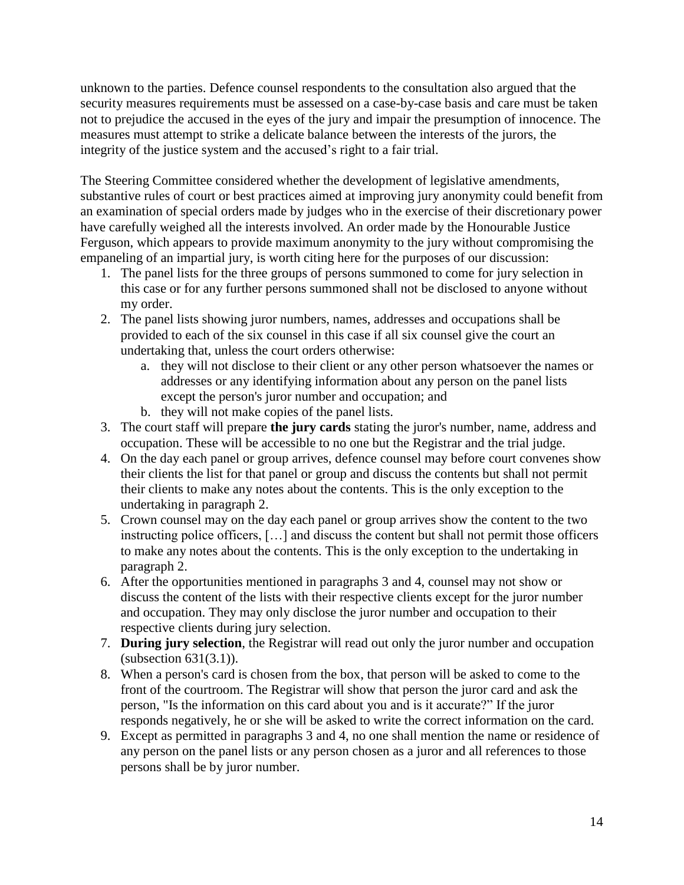unknown to the parties. Defence counsel respondents to the consultation also argued that the security measures requirements must be assessed on a case-by-case basis and care must be taken not to prejudice the accused in the eyes of the jury and impair the presumption of innocence. The measures must attempt to strike a delicate balance between the interests of the jurors, the integrity of the justice system and the accused's right to a fair trial.

The Steering Committee considered whether the development of legislative amendments, substantive rules of court or best practices aimed at improving jury anonymity could benefit from an examination of special orders made by judges who in the exercise of their discretionary power have carefully weighed all the interests involved. An order made by the Honourable Justice Ferguson, which appears to provide maximum anonymity to the jury without compromising the empaneling of an impartial jury, is worth citing here for the purposes of our discussion:

- 1. The panel lists for the three groups of persons summoned to come for jury selection in this case or for any further persons summoned shall not be disclosed to anyone without my order.
- 2. The panel lists showing juror numbers, names, addresses and occupations shall be provided to each of the six counsel in this case if all six counsel give the court an undertaking that, unless the court orders otherwise:
	- a. they will not disclose to their client or any other person whatsoever the names or addresses or any identifying information about any person on the panel lists except the person's juror number and occupation; and
	- b. they will not make copies of the panel lists.
- 3. The court staff will prepare **the jury cards** stating the juror's number, name, address and occupation. These will be accessible to no one but the Registrar and the trial judge.
- 4. On the day each panel or group arrives, defence counsel may before court convenes show their clients the list for that panel or group and discuss the contents but shall not permit their clients to make any notes about the contents. This is the only exception to the undertaking in paragraph 2.
- 5. Crown counsel may on the day each panel or group arrives show the content to the two instructing police officers, […] and discuss the content but shall not permit those officers to make any notes about the contents. This is the only exception to the undertaking in paragraph 2.
- 6. After the opportunities mentioned in paragraphs 3 and 4, counsel may not show or discuss the content of the lists with their respective clients except for the juror number and occupation. They may only disclose the juror number and occupation to their respective clients during jury selection.
- 7. **During jury selection**, the Registrar will read out only the juror number and occupation (subsection 631(3.1)).
- 8. When a person's card is chosen from the box, that person will be asked to come to the front of the courtroom. The Registrar will show that person the juror card and ask the person, "Is the information on this card about you and is it accurate?" If the juror responds negatively, he or she will be asked to write the correct information on the card.
- 9. Except as permitted in paragraphs 3 and 4, no one shall mention the name or residence of any person on the panel lists or any person chosen as a juror and all references to those persons shall be by juror number.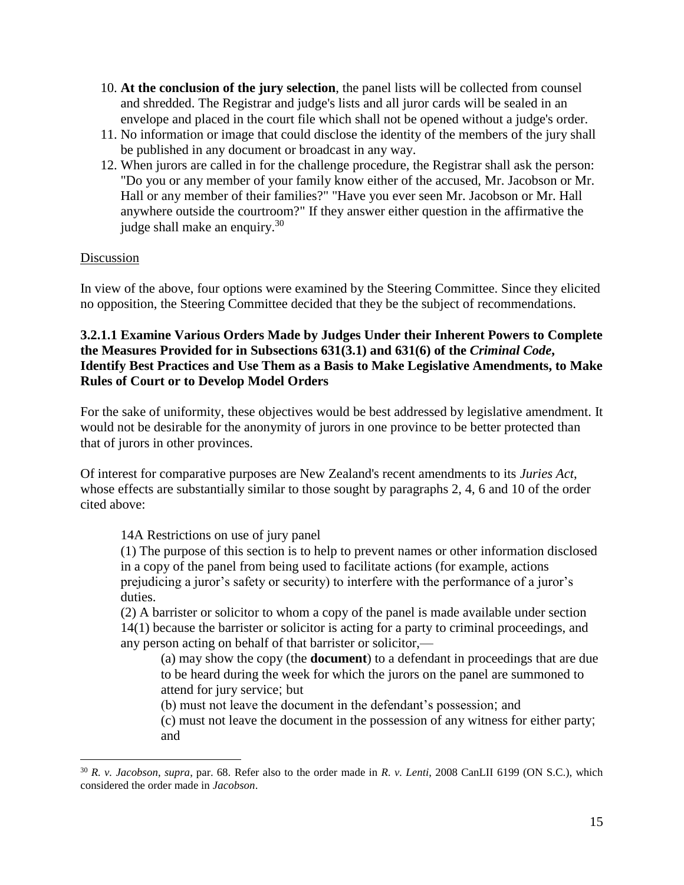- 10. **At the conclusion of the jury selection**, the panel lists will be collected from counsel and shredded. The Registrar and judge's lists and all juror cards will be sealed in an envelope and placed in the court file which shall not be opened without a judge's order.
- 11. No information or image that could disclose the identity of the members of the jury shall be published in any document or broadcast in any way.
- 12. When jurors are called in for the challenge procedure, the Registrar shall ask the person: "Do you or any member of your family know either of the accused, Mr. Jacobson or Mr. Hall or any member of their families?" "Have you ever seen Mr. Jacobson or Mr. Hall anywhere outside the courtroom?" If they answer either question in the affirmative the judge shall make an enquiry.<sup>30</sup>

#### Discussion

 $\overline{a}$ 

In view of the above, four options were examined by the Steering Committee. Since they elicited no opposition, the Steering Committee decided that they be the subject of recommendations.

#### **3.2.1.1 Examine Various Orders Made by Judges Under their Inherent Powers to Complete the Measures Provided for in Subsections 631(3.1) and 631(6) of the** *Criminal Code***, Identify Best Practices and Use Them as a Basis to Make Legislative Amendments, to Make Rules of Court or to Develop Model Orders**

For the sake of uniformity, these objectives would be best addressed by legislative amendment. It would not be desirable for the anonymity of jurors in one province to be better protected than that of jurors in other provinces.

Of interest for comparative purposes are New Zealand's recent amendments to its *Juries Act*, whose effects are substantially similar to those sought by paragraphs 2, 4, 6 and 10 of the order cited above:

14A Restrictions on use of jury panel

(1) The purpose of this section is to help to prevent names or other information disclosed in a copy of the panel from being used to facilitate actions (for example, actions prejudicing a juror's safety or security) to interfere with the performance of a juror's duties.

(2) A barrister or solicitor to whom a copy of the panel is made available under section 14(1) because the barrister or solicitor is acting for a party to criminal proceedings, and any person acting on behalf of that barrister or solicitor,—

(a) may show the copy (the **document**) to a defendant in proceedings that are due to be heard during the week for which the jurors on the panel are summoned to attend for jury service; but

(b) must not leave the document in the defendant's possession; and

(c) must not leave the document in the possession of any witness for either party; and

<sup>30</sup> *R. v. Jacobson*, *supra*, par. 68. Refer also to the order made in *R. v. Lenti*, 2008 CanLII 6199 (ON S.C.), which considered the order made in *Jacobson*.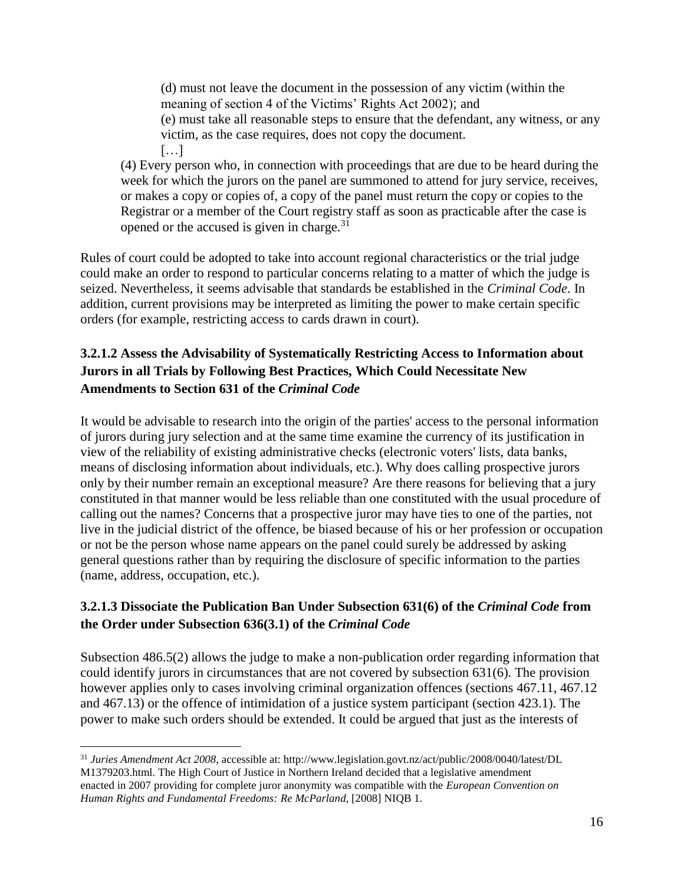(d) must not leave the document in the possession of any victim (within the meaning of section 4 of the Victims' Rights Act 2002); and (e) must take all reasonable steps to ensure that the defendant, any witness, or any victim, as the case requires, does not copy the document. […]

(4) Every person who, in connection with proceedings that are due to be heard during the week for which the jurors on the panel are summoned to attend for jury service, receives, or makes a copy or copies of, a copy of the panel must return the copy or copies to the Registrar or a member of the Court registry staff as soon as practicable after the case is opened or the accused is given in charge.<sup>31</sup>

Rules of court could be adopted to take into account regional characteristics or the trial judge could make an order to respond to particular concerns relating to a matter of which the judge is seized. Nevertheless, it seems advisable that standards be established in the *Criminal Code*. In addition, current provisions may be interpreted as limiting the power to make certain specific orders (for example, restricting access to cards drawn in court).

# **3.2.1.2 Assess the Advisability of Systematically Restricting Access to Information about Jurors in all Trials by Following Best Practices, Which Could Necessitate New Amendments to Section 631 of the** *Criminal Code*

It would be advisable to research into the origin of the parties' access to the personal information of jurors during jury selection and at the same time examine the currency of its justification in view of the reliability of existing administrative checks (electronic voters' lists, data banks, means of disclosing information about individuals, etc.). Why does calling prospective jurors only by their number remain an exceptional measure? Are there reasons for believing that a jury constituted in that manner would be less reliable than one constituted with the usual procedure of calling out the names? Concerns that a prospective juror may have ties to one of the parties, not live in the judicial district of the offence, be biased because of his or her profession or occupation or not be the person whose name appears on the panel could surely be addressed by asking general questions rather than by requiring the disclosure of specific information to the parties (name, address, occupation, etc.).

# **3.2.1.3 Dissociate the Publication Ban Under Subsection 631(6) of the** *Criminal Code* **from the Order under Subsection 636(3.1) of the** *Criminal Code*

Subsection 486.5(2) allows the judge to make a non-publication order regarding information that could identify jurors in circumstances that are not covered by subsection 631(6). The provision however applies only to cases involving criminal organization offences (sections 467.11, 467.12) and 467.13) or the offence of intimidation of a justice system participant (section 423.1). The power to make such orders should be extended. It could be argued that just as the interests of

 $\overline{a}$ <sup>31</sup> *Juries Amendment Act 2008*, accessible at: http://www.legislation.govt.nz/act/public/2008/0040/latest/DL M1379203.html. The High Court of Justice in Northern Ireland decided that a legislative amendment enacted in 2007 providing for complete juror anonymity was compatible with the *European Convention on Human Rights and Fundamental Freedoms: Re McParland*, [2008] NIQB 1.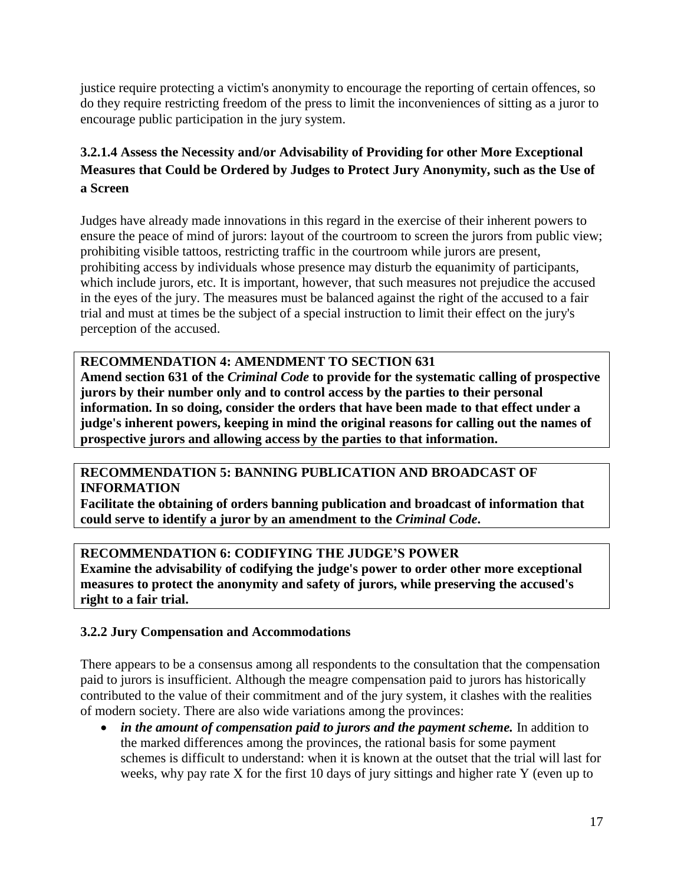justice require protecting a victim's anonymity to encourage the reporting of certain offences, so do they require restricting freedom of the press to limit the inconveniences of sitting as a juror to encourage public participation in the jury system.

# **3.2.1.4 Assess the Necessity and/or Advisability of Providing for other More Exceptional Measures that Could be Ordered by Judges to Protect Jury Anonymity, such as the Use of a Screen**

Judges have already made innovations in this regard in the exercise of their inherent powers to ensure the peace of mind of jurors: layout of the courtroom to screen the jurors from public view; prohibiting visible tattoos, restricting traffic in the courtroom while jurors are present, prohibiting access by individuals whose presence may disturb the equanimity of participants, which include jurors, etc. It is important, however, that such measures not prejudice the accused in the eyes of the jury. The measures must be balanced against the right of the accused to a fair trial and must at times be the subject of a special instruction to limit their effect on the jury's perception of the accused.

#### **RECOMMENDATION 4: AMENDMENT TO SECTION 631**

**Amend section 631 of the** *Criminal Code* **to provide for the systematic calling of prospective jurors by their number only and to control access by the parties to their personal information. In so doing, consider the orders that have been made to that effect under a judge's inherent powers, keeping in mind the original reasons for calling out the names of prospective jurors and allowing access by the parties to that information.**

## **RECOMMENDATION 5: BANNING PUBLICATION AND BROADCAST OF INFORMATION**

**Facilitate the obtaining of orders banning publication and broadcast of information that could serve to identify a juror by an amendment to the** *Criminal Code***.**

**RECOMMENDATION 6: CODIFYING THE JUDGE'S POWER Examine the advisability of codifying the judge's power to order other more exceptional measures to protect the anonymity and safety of jurors, while preserving the accused's right to a fair trial.**

#### <span id="page-17-0"></span>**3.2.2 Jury Compensation and Accommodations**

There appears to be a consensus among all respondents to the consultation that the compensation paid to jurors is insufficient. Although the meagre compensation paid to jurors has historically contributed to the value of their commitment and of the jury system, it clashes with the realities of modern society. There are also wide variations among the provinces:

• *in the amount of compensation paid to jurors and the payment scheme.* In addition to the marked differences among the provinces, the rational basis for some payment schemes is difficult to understand: when it is known at the outset that the trial will last for weeks, why pay rate X for the first 10 days of jury sittings and higher rate Y (even up to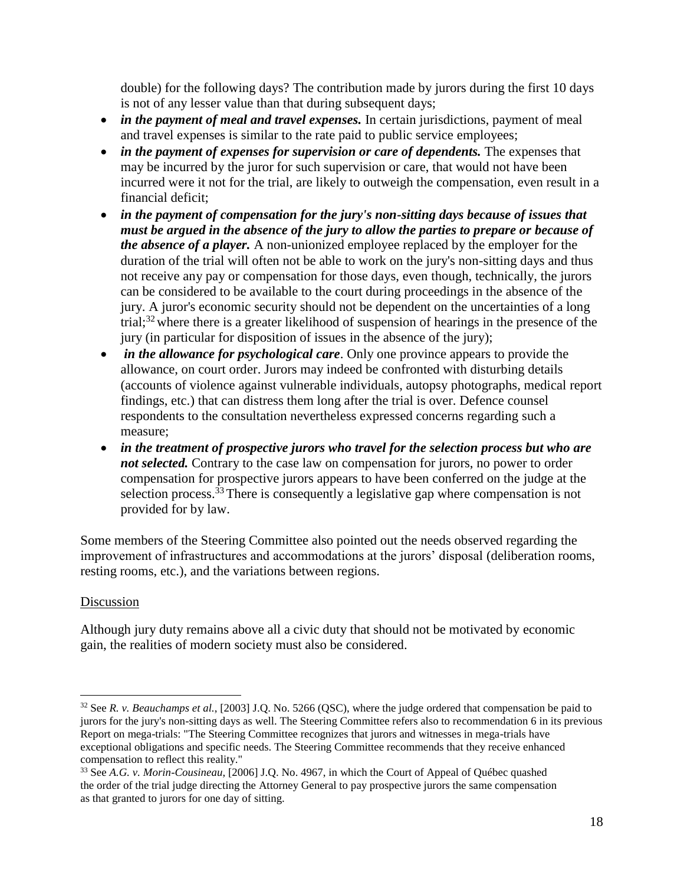double) for the following days? The contribution made by jurors during the first 10 days is not of any lesser value than that during subsequent days;

- *in the payment of meal and travel expenses*. In certain jurisdictions, payment of meal and travel expenses is similar to the rate paid to public service employees;
- *in the payment of expenses for supervision or care of dependents.* The expenses that may be incurred by the juror for such supervision or care, that would not have been incurred were it not for the trial, are likely to outweigh the compensation, even result in a financial deficit;
- *in the payment of compensation for the jury's non-sitting days because of issues that must be argued in the absence of the jury to allow the parties to prepare or because of the absence of a player.* A non-unionized employee replaced by the employer for the duration of the trial will often not be able to work on the jury's non-sitting days and thus not receive any pay or compensation for those days, even though, technically, the jurors can be considered to be available to the court during proceedings in the absence of the jury. A juror's economic security should not be dependent on the uncertainties of a long trial;<sup>32</sup> where there is a greater likelihood of suspension of hearings in the presence of the jury (in particular for disposition of issues in the absence of the jury);
- *in the allowance for psychological care*. Only one province appears to provide the allowance, on court order. Jurors may indeed be confronted with disturbing details (accounts of violence against vulnerable individuals, autopsy photographs, medical report findings, etc.) that can distress them long after the trial is over. Defence counsel respondents to the consultation nevertheless expressed concerns regarding such a measure;
- *in the treatment of prospective jurors who travel for the selection process but who are not selected.* Contrary to the case law on compensation for jurors, no power to order compensation for prospective jurors appears to have been conferred on the judge at the selection process.<sup>33</sup> There is consequently a legislative gap where compensation is not provided for by law.

Some members of the Steering Committee also pointed out the needs observed regarding the improvement of infrastructures and accommodations at the jurors' disposal (deliberation rooms, resting rooms, etc.), and the variations between regions.

# Discussion

 $\overline{a}$ 

Although jury duty remains above all a civic duty that should not be motivated by economic gain, the realities of modern society must also be considered.

<sup>32</sup> See *R. v. Beauchamps et al.*, [2003] J.Q. No. 5266 (QSC), where the judge ordered that compensation be paid to jurors for the jury's non-sitting days as well. The Steering Committee refers also to recommendation 6 in its previous Report on mega-trials: "The Steering Committee recognizes that jurors and witnesses in mega-trials have exceptional obligations and specific needs. The Steering Committee recommends that they receive enhanced compensation to reflect this reality."

<sup>33</sup> See *A.G. v. Morin-Cousineau*, [2006] J.Q. No. 4967, in which the Court of Appeal of Québec quashed the order of the trial judge directing the Attorney General to pay prospective jurors the same compensation as that granted to jurors for one day of sitting.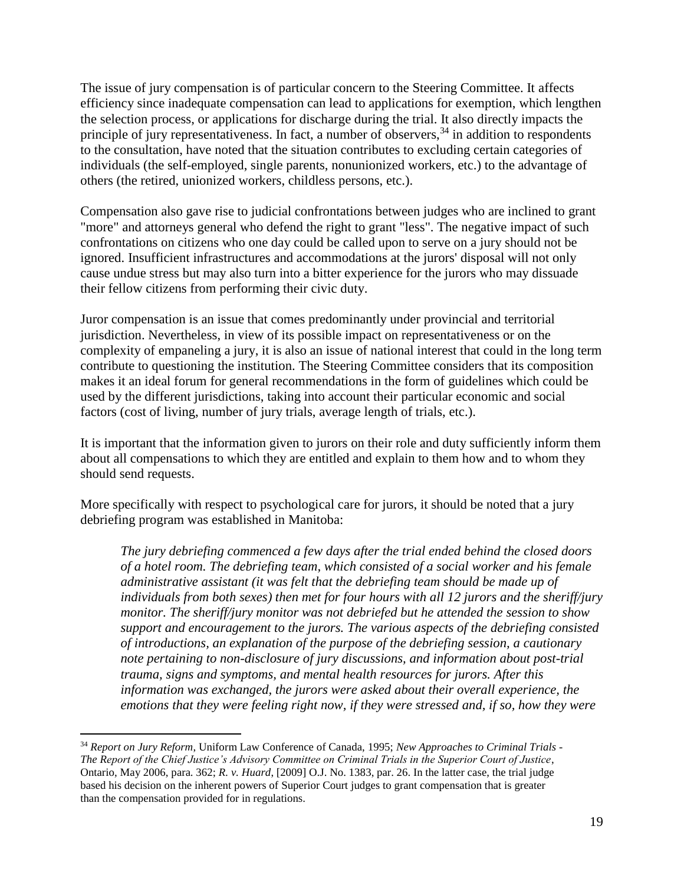The issue of jury compensation is of particular concern to the Steering Committee. It affects efficiency since inadequate compensation can lead to applications for exemption, which lengthen the selection process, or applications for discharge during the trial. It also directly impacts the principle of jury representativeness. In fact, a number of observers,  $34$  in addition to respondents to the consultation, have noted that the situation contributes to excluding certain categories of individuals (the self-employed, single parents, nonunionized workers, etc.) to the advantage of others (the retired, unionized workers, childless persons, etc.).

Compensation also gave rise to judicial confrontations between judges who are inclined to grant "more" and attorneys general who defend the right to grant "less". The negative impact of such confrontations on citizens who one day could be called upon to serve on a jury should not be ignored. Insufficient infrastructures and accommodations at the jurors' disposal will not only cause undue stress but may also turn into a bitter experience for the jurors who may dissuade their fellow citizens from performing their civic duty.

Juror compensation is an issue that comes predominantly under provincial and territorial jurisdiction. Nevertheless, in view of its possible impact on representativeness or on the complexity of empaneling a jury, it is also an issue of national interest that could in the long term contribute to questioning the institution. The Steering Committee considers that its composition makes it an ideal forum for general recommendations in the form of guidelines which could be used by the different jurisdictions, taking into account their particular economic and social factors (cost of living, number of jury trials, average length of trials, etc.).

It is important that the information given to jurors on their role and duty sufficiently inform them about all compensations to which they are entitled and explain to them how and to whom they should send requests.

More specifically with respect to psychological care for jurors, it should be noted that a jury debriefing program was established in Manitoba:

*The jury debriefing commenced a few days after the trial ended behind the closed doors of a hotel room. The debriefing team, which consisted of a social worker and his female administrative assistant (it was felt that the debriefing team should be made up of individuals from both sexes) then met for four hours with all 12 jurors and the sheriff/jury monitor. The sheriff/jury monitor was not debriefed but he attended the session to show support and encouragement to the jurors. The various aspects of the debriefing consisted of introductions, an explanation of the purpose of the debriefing session, a cautionary note pertaining to non-disclosure of jury discussions, and information about post-trial trauma, signs and symptoms, and mental health resources for jurors. After this information was exchanged, the jurors were asked about their overall experience, the emotions that they were feeling right now, if they were stressed and, if so, how they were* 

<sup>34</sup> *Report on Jury Reform*, Uniform Law Conference of Canada, 1995; *New Approaches to Criminal Trials - The Report of the Chief Justice's Advisory Committee on Criminal Trials in the Superior Court of Justice*, Ontario, May 2006, para. 362; *R. v. Huard*, [2009] O.J. No. 1383, par. 26. In the latter case, the trial judge based his decision on the inherent powers of Superior Court judges to grant compensation that is greater than the compensation provided for in regulations.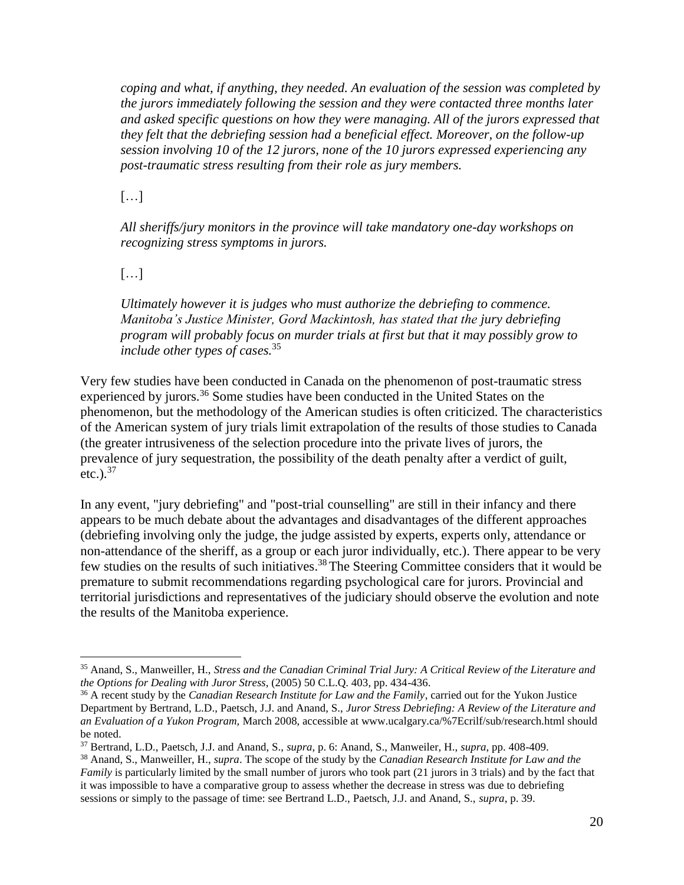*coping and what, if anything, they needed. An evaluation of the session was completed by the jurors immediately following the session and they were contacted three months later and asked specific questions on how they were managing. All of the jurors expressed that they felt that the debriefing session had a beneficial effect. Moreover, on the follow-up session involving 10 of the 12 jurors, none of the 10 jurors expressed experiencing any post-traumatic stress resulting from their role as jury members.*

[…]

*All sheriffs/jury monitors in the province will take mandatory one-day workshops on recognizing stress symptoms in jurors.*

[…]

*Ultimately however it is judges who must authorize the debriefing to commence. Manitoba's Justice Minister, Gord Mackintosh, has stated that the jury debriefing program will probably focus on murder trials at first but that it may possibly grow to include other types of cases.*<sup>35</sup>

Very few studies have been conducted in Canada on the phenomenon of post-traumatic stress experienced by jurors.<sup>36</sup> Some studies have been conducted in the United States on the phenomenon, but the methodology of the American studies is often criticized. The characteristics of the American system of jury trials limit extrapolation of the results of those studies to Canada (the greater intrusiveness of the selection procedure into the private lives of jurors, the prevalence of jury sequestration, the possibility of the death penalty after a verdict of guilt, etc.). $37$ 

In any event, "jury debriefing" and "post-trial counselling" are still in their infancy and there appears to be much debate about the advantages and disadvantages of the different approaches (debriefing involving only the judge, the judge assisted by experts, experts only, attendance or non-attendance of the sheriff, as a group or each juror individually, etc.). There appear to be very few studies on the results of such initiatives.<sup>38</sup> The Steering Committee considers that it would be premature to submit recommendations regarding psychological care for jurors. Provincial and territorial jurisdictions and representatives of the judiciary should observe the evolution and note the results of the Manitoba experience.

 $\overline{a}$ <sup>35</sup> Anand, S., Manweiller, H., *Stress and the Canadian Criminal Trial Jury: A Critical Review of the Literature and the Options for Dealing with Juror Stress*, (2005) 50 C.L.Q. 403, pp. 434-436.

<sup>&</sup>lt;sup>36</sup> A recent study by the *Canadian Research Institute for Law and the Family*, carried out for the Yukon Justice Department by Bertrand, L.D., Paetsch, J.J. and Anand, S., *Juror Stress Debriefing: A Review of the Literature and an Evaluation of a Yukon Program,* March 2008, accessible at www.ucalgary.ca/%7Ecrilf/sub/research.html should be noted.

<sup>37</sup> Bertrand, L.D., Paetsch, J.J. and Anand, S., *supra*, p. 6: Anand, S., Manweiler, H., *supra*, pp. 408-409.

<sup>38</sup> Anand, S., Manweiller, H., *supra*. The scope of the study by the *Canadian Research Institute for Law and the Family* is particularly limited by the small number of jurors who took part (21 jurors in 3 trials) and by the fact that it was impossible to have a comparative group to assess whether the decrease in stress was due to debriefing sessions or simply to the passage of time: see Bertrand L.D., Paetsch, J.J. and Anand, S., *supra*, p. 39.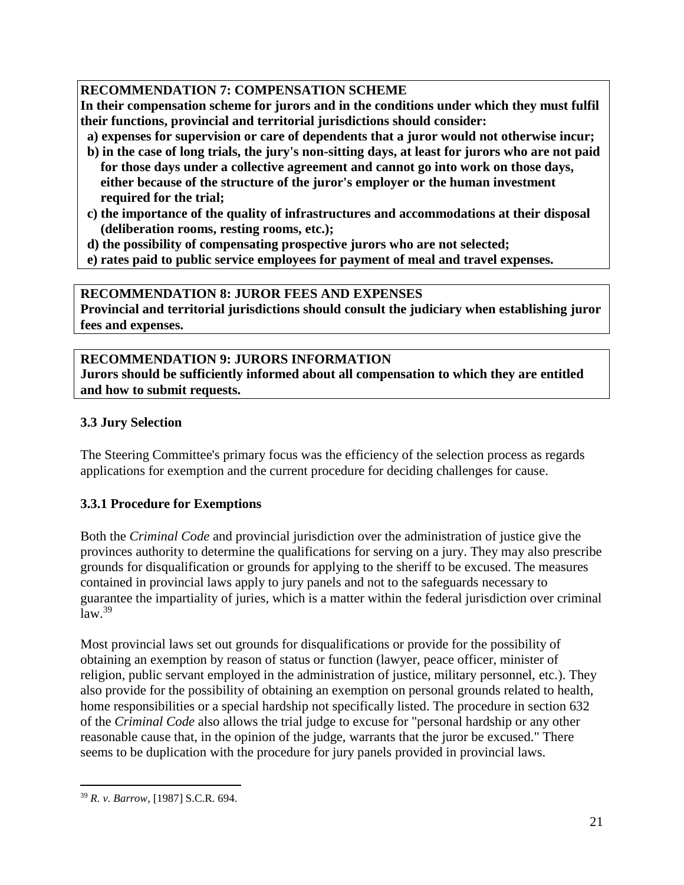## **RECOMMENDATION 7: COMPENSATION SCHEME**

**In their compensation scheme for jurors and in the conditions under which they must fulfil their functions, provincial and territorial jurisdictions should consider:**

- **a) expenses for supervision or care of dependents that a juror would not otherwise incur;**
- **b) in the case of long trials, the jury's non-sitting days, at least for jurors who are not paid for those days under a collective agreement and cannot go into work on those days, either because of the structure of the juror's employer or the human investment required for the trial;**
- **c) the importance of the quality of infrastructures and accommodations at their disposal (deliberation rooms, resting rooms, etc.);**
- **d) the possibility of compensating prospective jurors who are not selected;**
- **e) rates paid to public service employees for payment of meal and travel expenses.**

#### **RECOMMENDATION 8: JUROR FEES AND EXPENSES Provincial and territorial jurisdictions should consult the judiciary when establishing juror fees and expenses.**

#### **RECOMMENDATION 9: JURORS INFORMATION Jurors should be sufficiently informed about all compensation to which they are entitled and how to submit requests.**

## <span id="page-21-0"></span>**3.3 Jury Selection**

The Steering Committee's primary focus was the efficiency of the selection process as regards applications for exemption and the current procedure for deciding challenges for cause.

# <span id="page-21-1"></span>**3.3.1 Procedure for Exemptions**

Both the *Criminal Code* and provincial jurisdiction over the administration of justice give the provinces authority to determine the qualifications for serving on a jury. They may also prescribe grounds for disqualification or grounds for applying to the sheriff to be excused. The measures contained in provincial laws apply to jury panels and not to the safeguards necessary to guarantee the impartiality of juries, which is a matter within the federal jurisdiction over criminal law. 39

Most provincial laws set out grounds for disqualifications or provide for the possibility of obtaining an exemption by reason of status or function (lawyer, peace officer, minister of religion, public servant employed in the administration of justice, military personnel, etc.). They also provide for the possibility of obtaining an exemption on personal grounds related to health, home responsibilities or a special hardship not specifically listed. The procedure in section 632 of the *Criminal Code* also allows the trial judge to excuse for "personal hardship or any other reasonable cause that, in the opinion of the judge, warrants that the juror be excused." There seems to be duplication with the procedure for jury panels provided in provincial laws.

<sup>39</sup> *R. v. Barrow*, [1987] S.C.R. 694.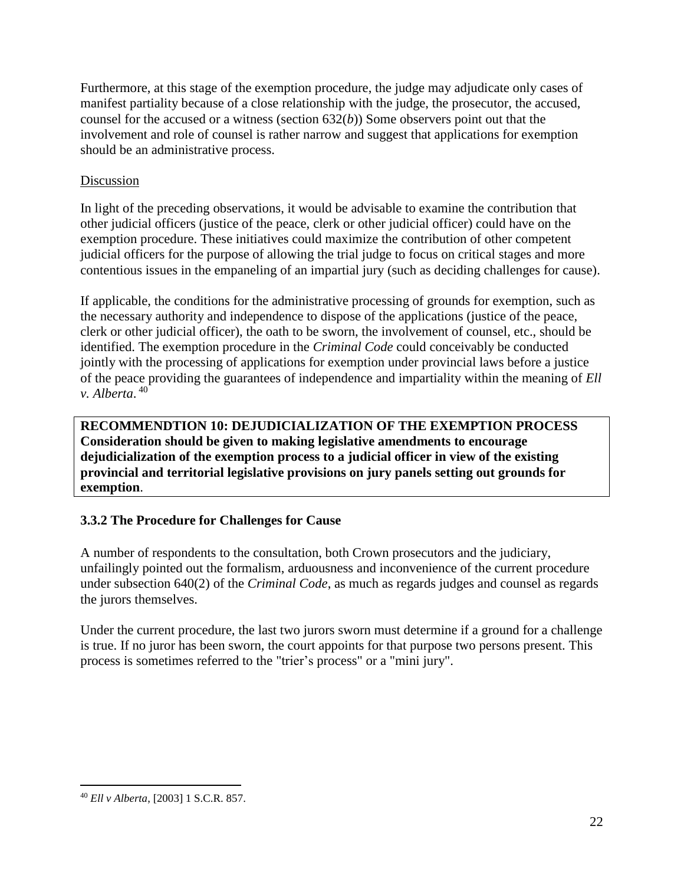Furthermore, at this stage of the exemption procedure, the judge may adjudicate only cases of manifest partiality because of a close relationship with the judge, the prosecutor, the accused, counsel for the accused or a witness (section 632(*b*)) Some observers point out that the involvement and role of counsel is rather narrow and suggest that applications for exemption should be an administrative process.

## Discussion

In light of the preceding observations, it would be advisable to examine the contribution that other judicial officers (justice of the peace, clerk or other judicial officer) could have on the exemption procedure. These initiatives could maximize the contribution of other competent judicial officers for the purpose of allowing the trial judge to focus on critical stages and more contentious issues in the empaneling of an impartial jury (such as deciding challenges for cause).

If applicable, the conditions for the administrative processing of grounds for exemption, such as the necessary authority and independence to dispose of the applications (justice of the peace, clerk or other judicial officer), the oath to be sworn, the involvement of counsel, etc., should be identified. The exemption procedure in the *Criminal Code* could conceivably be conducted jointly with the processing of applications for exemption under provincial laws before a justice of the peace providing the guarantees of independence and impartiality within the meaning of *Ell v. Alberta*. 40

**RECOMMENDTION 10: DEJUDICIALIZATION OF THE EXEMPTION PROCESS Consideration should be given to making legislative amendments to encourage dejudicialization of the exemption process to a judicial officer in view of the existing provincial and territorial legislative provisions on jury panels setting out grounds for exemption**.

# <span id="page-22-0"></span>**3.3.2 The Procedure for Challenges for Cause**

A number of respondents to the consultation, both Crown prosecutors and the judiciary, unfailingly pointed out the formalism, arduousness and inconvenience of the current procedure under subsection 640(2) of the *Criminal Code*, as much as regards judges and counsel as regards the jurors themselves.

Under the current procedure, the last two jurors sworn must determine if a ground for a challenge is true. If no juror has been sworn, the court appoints for that purpose two persons present. This process is sometimes referred to the "trier's process" or a "mini jury".

 $\overline{a}$ <sup>40</sup> *Ell v Alberta*, [2003] 1 S.C.R. 857.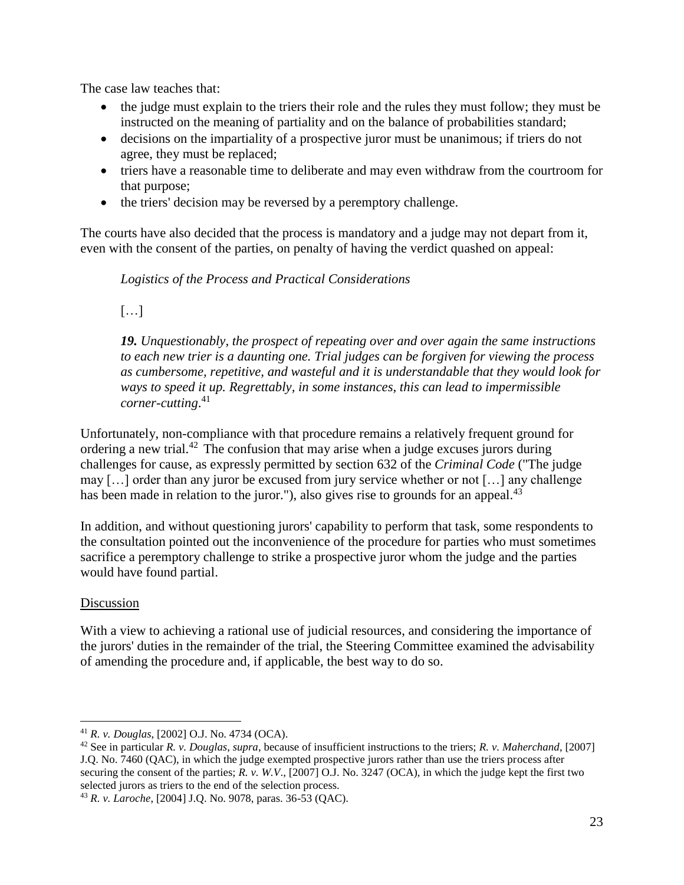The case law teaches that:

- the judge must explain to the triers their role and the rules they must follow; they must be instructed on the meaning of partiality and on the balance of probabilities standard;
- decisions on the impartiality of a prospective juror must be unanimous; if triers do not agree, they must be replaced;
- triers have a reasonable time to deliberate and may even withdraw from the courtroom for that purpose;
- the triers' decision may be reversed by a peremptory challenge.

The courts have also decided that the process is mandatory and a judge may not depart from it, even with the consent of the parties, on penalty of having the verdict quashed on appeal:

*Logistics of the Process and Practical Considerations*

 $\lceil \dots \rceil$ 

*19. Unquestionably, the prospect of repeating over and over again the same instructions to each new trier is a daunting one. Trial judges can be forgiven for viewing the process as cumbersome, repetitive, and wasteful and it is understandable that they would look for ways to speed it up. Regrettably, in some instances, this can lead to impermissible corner-cutting*. 41

Unfortunately, non-compliance with that procedure remains a relatively frequent ground for ordering a new trial.<sup>42</sup> The confusion that may arise when a judge excuses jurors during challenges for cause, as expressly permitted by section 632 of the *Criminal Code* ("The judge may […] order than any juror be excused from jury service whether or not […] any challenge has been made in relation to the juror."), also gives rise to grounds for an appeal.<sup>43</sup>

In addition, and without questioning jurors' capability to perform that task, some respondents to the consultation pointed out the inconvenience of the procedure for parties who must sometimes sacrifice a peremptory challenge to strike a prospective juror whom the judge and the parties would have found partial.

#### Discussion

With a view to achieving a rational use of judicial resources, and considering the importance of the jurors' duties in the remainder of the trial, the Steering Committee examined the advisability of amending the procedure and, if applicable, the best way to do so.

 $\overline{a}$ <sup>41</sup> *R. v. Douglas*, [2002] O.J. No. 4734 (OCA).

<sup>42</sup> See in particular *R. v. Douglas*, *supra*, because of insufficient instructions to the triers; *R. v. Maherchand*, [2007] J.Q. No. 7460 (QAC), in which the judge exempted prospective jurors rather than use the triers process after securing the consent of the parties; *R. v. W.V*., [2007] O.J. No. 3247 (OCA), in which the judge kept the first two selected jurors as triers to the end of the selection process.

<sup>43</sup> *R. v. Laroche*, [2004] J.Q. No. 9078, paras. 36-53 (QAC).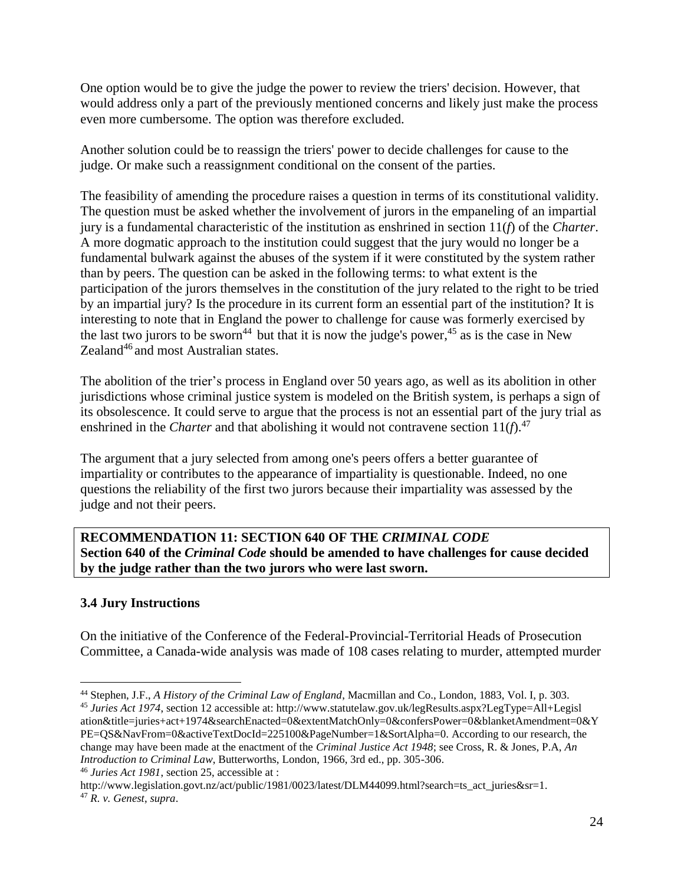One option would be to give the judge the power to review the triers' decision. However, that would address only a part of the previously mentioned concerns and likely just make the process even more cumbersome. The option was therefore excluded.

Another solution could be to reassign the triers' power to decide challenges for cause to the judge. Or make such a reassignment conditional on the consent of the parties.

The feasibility of amending the procedure raises a question in terms of its constitutional validity. The question must be asked whether the involvement of jurors in the empaneling of an impartial jury is a fundamental characteristic of the institution as enshrined in section 11(*f*) of the *Charter*. A more dogmatic approach to the institution could suggest that the jury would no longer be a fundamental bulwark against the abuses of the system if it were constituted by the system rather than by peers. The question can be asked in the following terms: to what extent is the participation of the jurors themselves in the constitution of the jury related to the right to be tried by an impartial jury? Is the procedure in its current form an essential part of the institution? It is interesting to note that in England the power to challenge for cause was formerly exercised by the last two jurors to be sworn<sup>44</sup> but that it is now the judge's power,  $45$  as is the case in New Zealand<sup>46</sup> and most Australian states.

The abolition of the trier's process in England over 50 years ago, as well as its abolition in other jurisdictions whose criminal justice system is modeled on the British system, is perhaps a sign of its obsolescence. It could serve to argue that the process is not an essential part of the jury trial as enshrined in the *Charter* and that abolishing it would not contravene section  $11(f)$ .<sup>47</sup>

The argument that a jury selected from among one's peers offers a better guarantee of impartiality or contributes to the appearance of impartiality is questionable. Indeed, no one questions the reliability of the first two jurors because their impartiality was assessed by the judge and not their peers.

## **RECOMMENDATION 11: SECTION 640 OF THE** *CRIMINAL CODE* **Section 640 of the** *Criminal Code* **should be amended to have challenges for cause decided by the judge rather than the two jurors who were last sworn.**

#### <span id="page-24-0"></span>**3.4 Jury Instructions**

 $\overline{a}$ 

On the initiative of the Conference of the Federal-Provincial-Territorial Heads of Prosecution Committee, a Canada-wide analysis was made of 108 cases relating to murder, attempted murder

http://www.legislation.govt.nz/act/public/1981/0023/latest/DLM44099.html?search=ts\_act\_juries&sr=1. <sup>47</sup> *R. v. Genest*, *supra*.

<sup>44</sup> Stephen, J.F., *A History of the Criminal Law of England*, Macmillan and Co., London, 1883, Vol. I, p. 303. <sup>45</sup> *Juries Act 1974*, section 12 accessible at: http://www.statutelaw.gov.uk/legResults.aspx?LegType=All+Legisl ation&title=juries+act+1974&searchEnacted=0&extentMatchOnly=0&confersPower=0&blanketAmendment=0&Y PE=QS&NavFrom=0&activeTextDocId=225100&PageNumber=1&SortAlpha=0. According to our research, the change may have been made at the enactment of the *Criminal Justice Act 1948*; see Cross, R. & Jones, P.A, *An Introduction to Criminal Law*, Butterworths, London, 1966, 3rd ed., pp. 305-306. <sup>46</sup> *Juries Act 1981*, section 25, accessible at :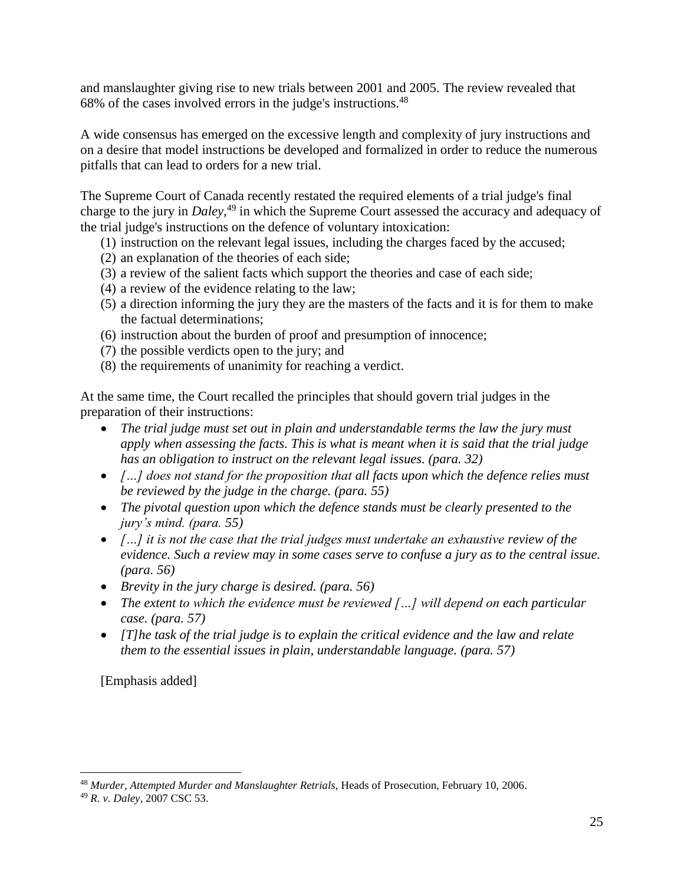and manslaughter giving rise to new trials between 2001 and 2005. The review revealed that 68% of the cases involved errors in the judge's instructions.<sup>48</sup>

A wide consensus has emerged on the excessive length and complexity of jury instructions and on a desire that model instructions be developed and formalized in order to reduce the numerous pitfalls that can lead to orders for a new trial.

The Supreme Court of Canada recently restated the required elements of a trial judge's final charge to the jury in *Daley*, <sup>49</sup> in which the Supreme Court assessed the accuracy and adequacy of the trial judge's instructions on the defence of voluntary intoxication:

- (1) instruction on the relevant legal issues, including the charges faced by the accused;
- (2) an explanation of the theories of each side;
- (3) a review of the salient facts which support the theories and case of each side;
- (4) a review of the evidence relating to the law;
- (5) a direction informing the jury they are the masters of the facts and it is for them to make the factual determinations;
- (6) instruction about the burden of proof and presumption of innocence;
- (7) the possible verdicts open to the jury; and
- (8) the requirements of unanimity for reaching a verdict.

At the same time, the Court recalled the principles that should govern trial judges in the preparation of their instructions:

- The trial judge must set out in plain and understandable terms the law the jury must *apply when assessing the facts. This is what is meant when it is said that the trial judge has an obligation to instruct on the relevant legal issues. (para. 32)*
- *[…] does not stand for the proposition that all facts upon which the defence relies must be reviewed by the judge in the charge. (para. 55)*
- The pivotal question upon which the defence stands must be clearly presented to the *jury's mind. (para. 55)*
- *[…] it is not the case that the trial judges must undertake an exhaustive review of the evidence. Such a review may in some cases serve to confuse a jury as to the central issue. (para. 56)*
- *Brevity in the jury charge is desired. (para. 56)*
- *The extent to which the evidence must be reviewed […] will depend on each particular case. (para. 57)*
- *[T]he task of the trial judge is to explain the critical evidence and the law and relate them to the essential issues in plain, understandable language. (para. 57)*

<span id="page-25-0"></span>[Emphasis added]

<sup>48</sup> *Murder, Attempted Murder and Manslaughter Retrials*, Heads of Prosecution, February 10, 2006.

<sup>49</sup> *R. v. Daley*, 2007 CSC 53.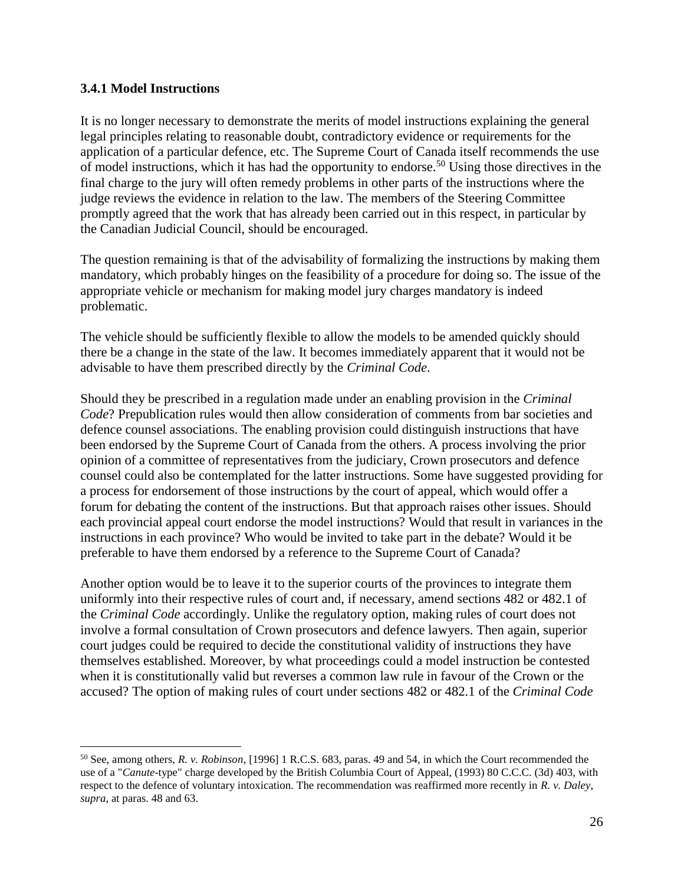#### **3.4.1 Model Instructions**

 $\overline{a}$ 

It is no longer necessary to demonstrate the merits of model instructions explaining the general legal principles relating to reasonable doubt, contradictory evidence or requirements for the application of a particular defence, etc. The Supreme Court of Canada itself recommends the use of model instructions, which it has had the opportunity to endorse.<sup>50</sup> Using those directives in the final charge to the jury will often remedy problems in other parts of the instructions where the judge reviews the evidence in relation to the law. The members of the Steering Committee promptly agreed that the work that has already been carried out in this respect, in particular by the Canadian Judicial Council, should be encouraged.

The question remaining is that of the advisability of formalizing the instructions by making them mandatory, which probably hinges on the feasibility of a procedure for doing so. The issue of the appropriate vehicle or mechanism for making model jury charges mandatory is indeed problematic.

The vehicle should be sufficiently flexible to allow the models to be amended quickly should there be a change in the state of the law. It becomes immediately apparent that it would not be advisable to have them prescribed directly by the *Criminal Code*.

Should they be prescribed in a regulation made under an enabling provision in the *Criminal Code*? Prepublication rules would then allow consideration of comments from bar societies and defence counsel associations. The enabling provision could distinguish instructions that have been endorsed by the Supreme Court of Canada from the others. A process involving the prior opinion of a committee of representatives from the judiciary, Crown prosecutors and defence counsel could also be contemplated for the latter instructions. Some have suggested providing for a process for endorsement of those instructions by the court of appeal, which would offer a forum for debating the content of the instructions. But that approach raises other issues. Should each provincial appeal court endorse the model instructions? Would that result in variances in the instructions in each province? Who would be invited to take part in the debate? Would it be preferable to have them endorsed by a reference to the Supreme Court of Canada?

Another option would be to leave it to the superior courts of the provinces to integrate them uniformly into their respective rules of court and, if necessary, amend sections 482 or 482.1 of the *Criminal Code* accordingly. Unlike the regulatory option, making rules of court does not involve a formal consultation of Crown prosecutors and defence lawyers. Then again, superior court judges could be required to decide the constitutional validity of instructions they have themselves established. Moreover, by what proceedings could a model instruction be contested when it is constitutionally valid but reverses a common law rule in favour of the Crown or the accused? The option of making rules of court under sections 482 or 482.1 of the *Criminal Code*

<sup>50</sup> See, among others, *R. v. Robinson*, [1996] 1 R.C.S. 683, paras. 49 and 54, in which the Court recommended the use of a "*Canute*-type" charge developed by the British Columbia Court of Appeal, (1993) 80 C.C.C. (3d) 403, with respect to the defence of voluntary intoxication. The recommendation was reaffirmed more recently in *R. v. Daley*, *supra*, at paras. 48 and 63.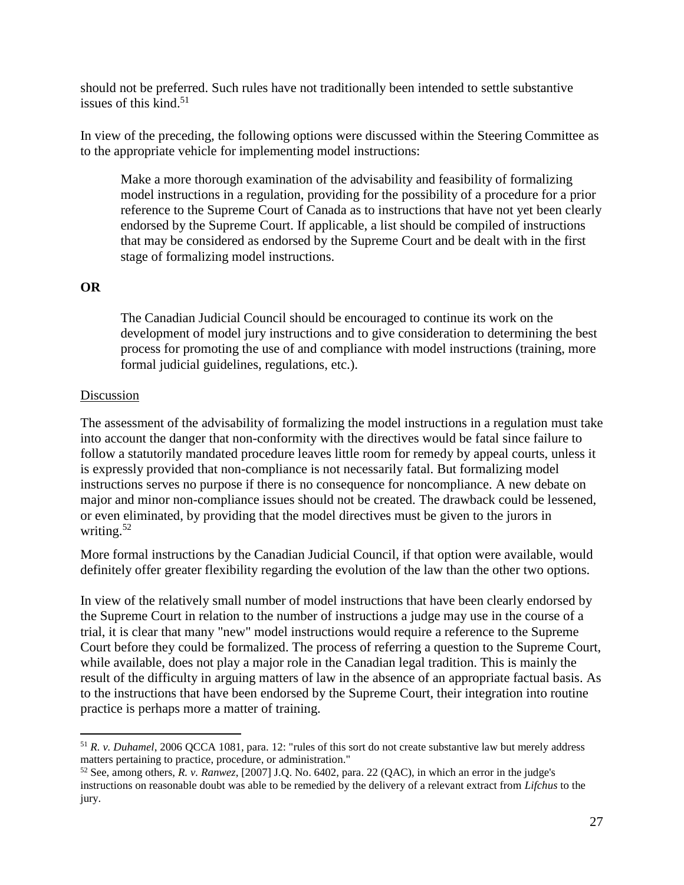should not be preferred. Such rules have not traditionally been intended to settle substantive issues of this kind. 51

In view of the preceding, the following options were discussed within the Steering Committee as to the appropriate vehicle for implementing model instructions:

Make a more thorough examination of the advisability and feasibility of formalizing model instructions in a regulation, providing for the possibility of a procedure for a prior reference to the Supreme Court of Canada as to instructions that have not yet been clearly endorsed by the Supreme Court. If applicable, a list should be compiled of instructions that may be considered as endorsed by the Supreme Court and be dealt with in the first stage of formalizing model instructions.

#### **OR**

The Canadian Judicial Council should be encouraged to continue its work on the development of model jury instructions and to give consideration to determining the best process for promoting the use of and compliance with model instructions (training, more formal judicial guidelines, regulations, etc.).

#### Discussion

 $\overline{a}$ 

The assessment of the advisability of formalizing the model instructions in a regulation must take into account the danger that non-conformity with the directives would be fatal since failure to follow a statutorily mandated procedure leaves little room for remedy by appeal courts, unless it is expressly provided that non-compliance is not necessarily fatal. But formalizing model instructions serves no purpose if there is no consequence for noncompliance. A new debate on major and minor non-compliance issues should not be created. The drawback could be lessened, or even eliminated, by providing that the model directives must be given to the jurors in writing. 52

More formal instructions by the Canadian Judicial Council, if that option were available, would definitely offer greater flexibility regarding the evolution of the law than the other two options.

In view of the relatively small number of model instructions that have been clearly endorsed by the Supreme Court in relation to the number of instructions a judge may use in the course of a trial, it is clear that many "new" model instructions would require a reference to the Supreme Court before they could be formalized. The process of referring a question to the Supreme Court, while available, does not play a major role in the Canadian legal tradition. This is mainly the result of the difficulty in arguing matters of law in the absence of an appropriate factual basis. As to the instructions that have been endorsed by the Supreme Court, their integration into routine practice is perhaps more a matter of training.

<sup>51</sup> *R. v. Duhamel*, 2006 QCCA 1081, para. 12: "rules of this sort do not create substantive law but merely address matters pertaining to practice, procedure, or administration."

<sup>52</sup> See, among others, *R. v. Ranwez*, [2007] J.Q. No. 6402, para. 22 (QAC), in which an error in the judge's instructions on reasonable doubt was able to be remedied by the delivery of a relevant extract from *Lifchus* to the jury.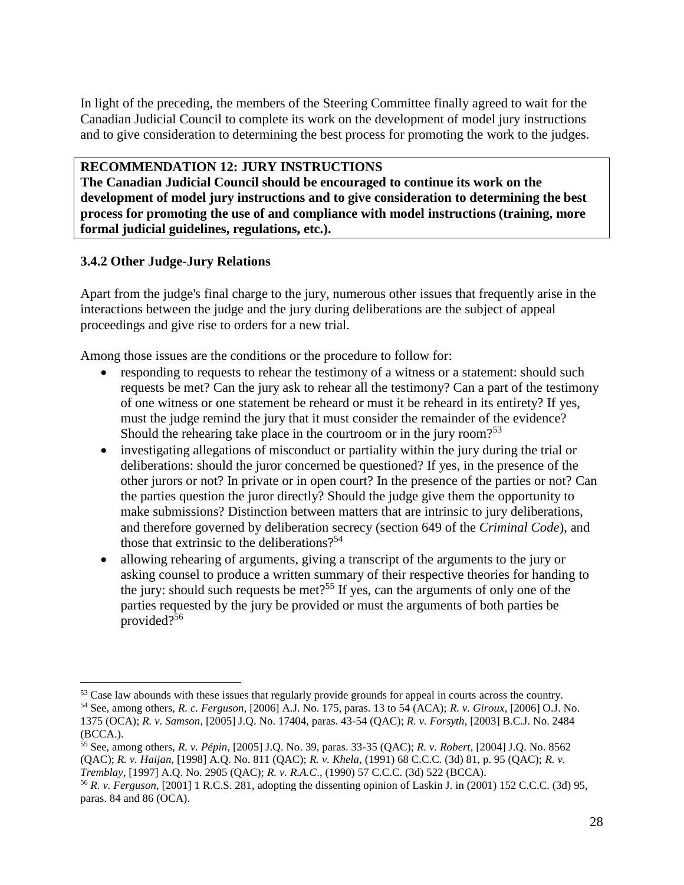In light of the preceding, the members of the Steering Committee finally agreed to wait for the Canadian Judicial Council to complete its work on the development of model jury instructions and to give consideration to determining the best process for promoting the work to the judges.

#### **RECOMMENDATION 12: JURY INSTRUCTIONS The Canadian Judicial Council should be encouraged to continue its work on the development of model jury instructions and to give consideration to determining the best process for promoting the use of and compliance with model instructions (training, more formal judicial guidelines, regulations, etc.).**

## <span id="page-28-0"></span>**3.4.2 Other Judge-Jury Relations**

Apart from the judge's final charge to the jury, numerous other issues that frequently arise in the interactions between the judge and the jury during deliberations are the subject of appeal proceedings and give rise to orders for a new trial.

Among those issues are the conditions or the procedure to follow for:

- responding to requests to rehear the testimony of a witness or a statement: should such requests be met? Can the jury ask to rehear all the testimony? Can a part of the testimony of one witness or one statement be reheard or must it be reheard in its entirety? If yes, must the judge remind the jury that it must consider the remainder of the evidence? Should the rehearing take place in the courtroom or in the jury room?<sup>53</sup>
- investigating allegations of misconduct or partiality within the jury during the trial or deliberations: should the juror concerned be questioned? If yes, in the presence of the other jurors or not? In private or in open court? In the presence of the parties or not? Can the parties question the juror directly? Should the judge give them the opportunity to make submissions? Distinction between matters that are intrinsic to jury deliberations, and therefore governed by deliberation secrecy (section 649 of the *Criminal Code*), and those that extrinsic to the deliberations?<sup>54</sup>
- allowing rehearing of arguments, giving a transcript of the arguments to the jury or asking counsel to produce a written summary of their respective theories for handing to the jury: should such requests be met?<sup>55</sup> If yes, can the arguments of only one of the parties requested by the jury be provided or must the arguments of both parties be provided?<sup>56</sup>

 $\overline{a}$ <sup>53</sup> Case law abounds with these issues that regularly provide grounds for appeal in courts across the country.

<sup>54</sup> See, among others, *R. c. Ferguson*, [2006] A.J. No. 175, paras. 13 to 54 (ACA); *R. v. Giroux*, [2006] O.J. No. 1375 (OCA); *R. v. Samson*, [2005] J.Q. No. 17404, paras. 43-54 (QAC); *R. v. Forsyth*, [2003] B.C.J. No. 2484 (BCCA.).

<sup>55</sup> See, among others, *R. v. Pépin*, [2005] J.Q. No. 39, paras. 33-35 (QAC); *R. v. Robert*, [2004] J.Q. No. 8562 (QAC); *R. v. Haijan*, [1998] A.Q. No. 811 (QAC); *R. v. Khela*, (1991) 68 C.C.C. (3d) 81, p. 95 (QAC); *R. v. Tremblay*, [1997] A.Q. No. 2905 (QAC); *R. v. R.A.C*., (1990) 57 C.C.C. (3d) 522 (BCCA).

<sup>56</sup> *R. v. Ferguson*, [2001] 1 R.C.S. 281, adopting the dissenting opinion of Laskin J. in (2001) 152 C.C.C. (3d) 95, paras. 84 and 86 (OCA).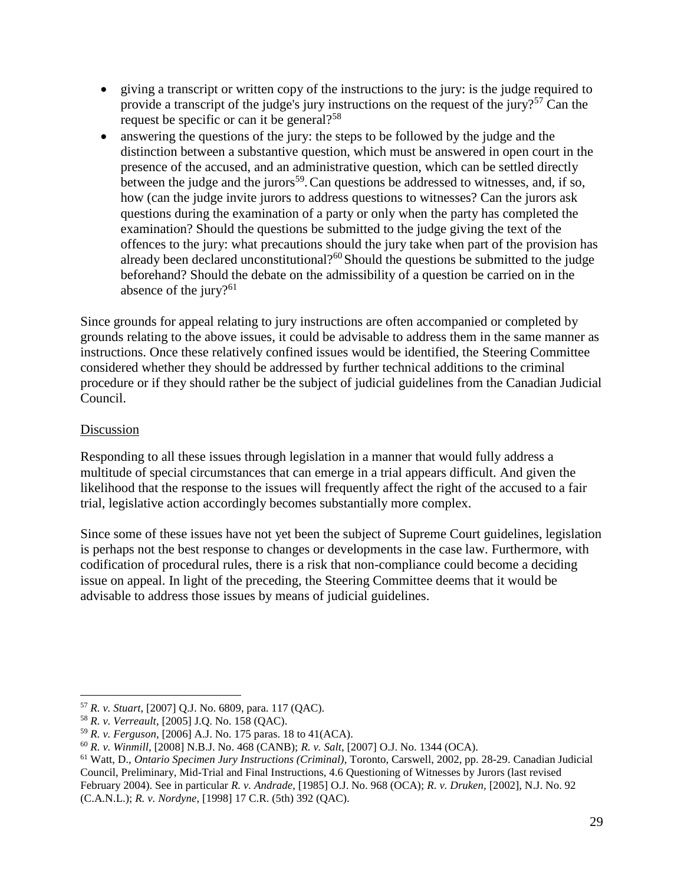- giving a transcript or written copy of the instructions to the jury: is the judge required to provide a transcript of the judge's jury instructions on the request of the jury?<sup>57</sup> Can the request be specific or can it be general?<sup>58</sup>
- answering the questions of the jury: the steps to be followed by the judge and the distinction between a substantive question, which must be answered in open court in the presence of the accused, and an administrative question, which can be settled directly between the judge and the jurors<sup>59</sup>. Can questions be addressed to witnesses, and, if so, how (can the judge invite jurors to address questions to witnesses? Can the jurors ask questions during the examination of a party or only when the party has completed the examination? Should the questions be submitted to the judge giving the text of the offences to the jury: what precautions should the jury take when part of the provision has already been declared unconstitutional?<sup>60</sup> Should the questions be submitted to the judge beforehand? Should the debate on the admissibility of a question be carried on in the absence of the jury? $61$

Since grounds for appeal relating to jury instructions are often accompanied or completed by grounds relating to the above issues, it could be advisable to address them in the same manner as instructions. Once these relatively confined issues would be identified, the Steering Committee considered whether they should be addressed by further technical additions to the criminal procedure or if they should rather be the subject of judicial guidelines from the Canadian Judicial Council.

#### Discussion

 $\overline{a}$ 

Responding to all these issues through legislation in a manner that would fully address a multitude of special circumstances that can emerge in a trial appears difficult. And given the likelihood that the response to the issues will frequently affect the right of the accused to a fair trial, legislative action accordingly becomes substantially more complex.

Since some of these issues have not yet been the subject of Supreme Court guidelines, legislation is perhaps not the best response to changes or developments in the case law. Furthermore, with codification of procedural rules, there is a risk that non-compliance could become a deciding issue on appeal. In light of the preceding, the Steering Committee deems that it would be advisable to address those issues by means of judicial guidelines.

<sup>57</sup> *R. v. Stuart*, [2007] Q.J. No. 6809, para. 117 (QAC).

<sup>58</sup> *R. v. Verreault*, [2005] J.Q. No. 158 (QAC).

<sup>59</sup> *R. v. Ferguson*, [2006] A.J. No. 175 paras. 18 to 41(ACA).

<sup>60</sup> *R. v. Winmill*, [2008] N.B.J. No. 468 (CANB); *R. v. Salt*, [2007] O.J. No. 1344 (OCA).

<sup>61</sup> Watt, D., *Ontario Specimen Jury Instructions (Criminal)*, Toronto, Carswell, 2002, pp. 28-29. Canadian Judicial Council, Preliminary, Mid-Trial and Final Instructions, 4.6 Questioning of Witnesses by Jurors (last revised February 2004). See in particular *R. v. Andrade*, [1985] O.J. No. 968 (OCA); *R. v. Druken,* [2002], N.J. No. 92 (C.A.N.L.); *R. v. Nordyne*, [1998] 17 C.R. (5th) 392 (QAC).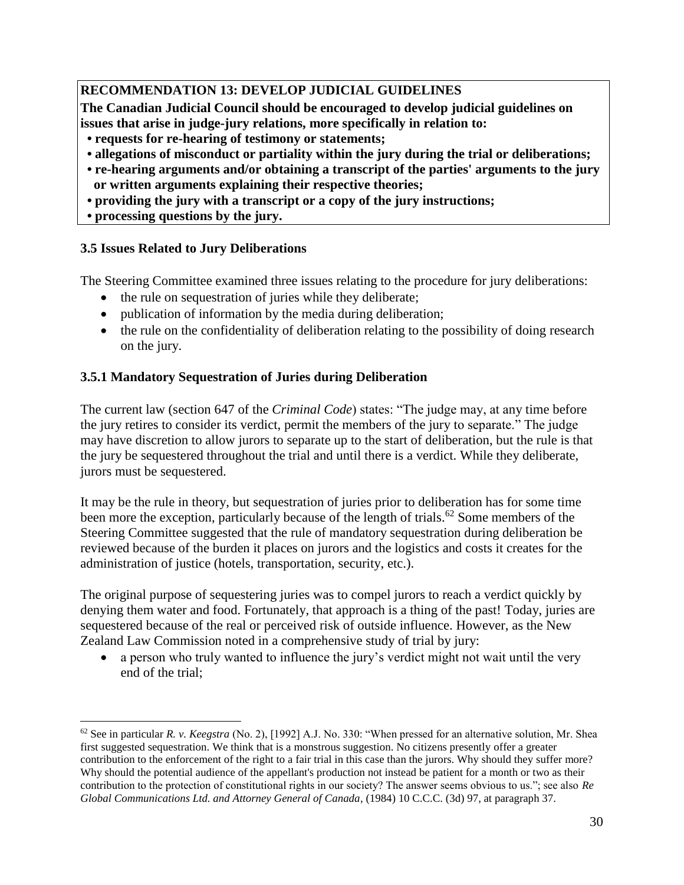# **RECOMMENDATION 13: DEVELOP JUDICIAL GUIDELINES**

**The Canadian Judicial Council should be encouraged to develop judicial guidelines on issues that arise in judge-jury relations, more specifically in relation to:**

- **requests for re-hearing of testimony or statements;**
- **allegations of misconduct or partiality within the jury during the trial or deliberations;**
- **re-hearing arguments and/or obtaining a transcript of the parties' arguments to the jury or written arguments explaining their respective theories;**
- **providing the jury with a transcript or a copy of the jury instructions;**
- **processing questions by the jury.**

 $\overline{a}$ 

# <span id="page-30-0"></span>**3.5 Issues Related to Jury Deliberations**

The Steering Committee examined three issues relating to the procedure for jury deliberations:

- the rule on sequestration of juries while they deliberate;
- publication of information by the media during deliberation;
- the rule on the confidentiality of deliberation relating to the possibility of doing research on the jury.

## <span id="page-30-1"></span>**3.5.1 Mandatory Sequestration of Juries during Deliberation**

The current law (section 647 of the *Criminal Code*) states: "The judge may, at any time before the jury retires to consider its verdict, permit the members of the jury to separate." The judge may have discretion to allow jurors to separate up to the start of deliberation, but the rule is that the jury be sequestered throughout the trial and until there is a verdict. While they deliberate, jurors must be sequestered.

It may be the rule in theory, but sequestration of juries prior to deliberation has for some time been more the exception, particularly because of the length of trials.<sup>62</sup> Some members of the Steering Committee suggested that the rule of mandatory sequestration during deliberation be reviewed because of the burden it places on jurors and the logistics and costs it creates for the administration of justice (hotels, transportation, security, etc.).

The original purpose of sequestering juries was to compel jurors to reach a verdict quickly by denying them water and food. Fortunately, that approach is a thing of the past! Today, juries are sequestered because of the real or perceived risk of outside influence. However, as the New Zealand Law Commission noted in a comprehensive study of trial by jury:

• a person who truly wanted to influence the jury's verdict might not wait until the very end of the trial;

<sup>62</sup> See in particular *R. v. Keegstra* (No. 2), [1992] A.J. No. 330: "When pressed for an alternative solution, Mr. Shea first suggested sequestration. We think that is a monstrous suggestion. No citizens presently offer a greater contribution to the enforcement of the right to a fair trial in this case than the jurors. Why should they suffer more? Why should the potential audience of the appellant's production not instead be patient for a month or two as their contribution to the protection of constitutional rights in our society? The answer seems obvious to us."; see also *Re Global Communications Ltd. and Attorney General of Canada*, (1984) 10 C.C.C. (3d) 97, at paragraph 37.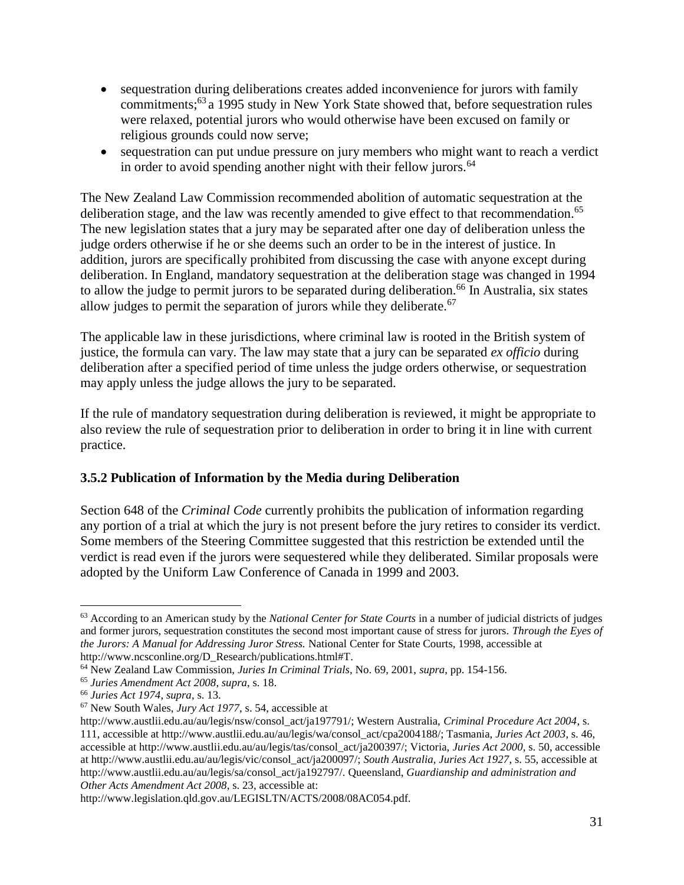- sequestration during deliberations creates added inconvenience for jurors with family commitments;<sup>63</sup> a 1995 study in New York State showed that, before sequestration rules were relaxed, potential jurors who would otherwise have been excused on family or religious grounds could now serve;
- sequestration can put undue pressure on jury members who might want to reach a verdict in order to avoid spending another night with their fellow jurors.<sup>64</sup>

The New Zealand Law Commission recommended abolition of automatic sequestration at the deliberation stage, and the law was recently amended to give effect to that recommendation.<sup>65</sup> The new legislation states that a jury may be separated after one day of deliberation unless the judge orders otherwise if he or she deems such an order to be in the interest of justice. In addition, jurors are specifically prohibited from discussing the case with anyone except during deliberation. In England, mandatory sequestration at the deliberation stage was changed in 1994 to allow the judge to permit jurors to be separated during deliberation.<sup>66</sup> In Australia, six states allow judges to permit the separation of jurors while they deliberate.<sup>67</sup>

The applicable law in these jurisdictions, where criminal law is rooted in the British system of justice, the formula can vary. The law may state that a jury can be separated *ex officio* during deliberation after a specified period of time unless the judge orders otherwise, or sequestration may apply unless the judge allows the jury to be separated.

If the rule of mandatory sequestration during deliberation is reviewed, it might be appropriate to also review the rule of sequestration prior to deliberation in order to bring it in line with current practice.

#### <span id="page-31-0"></span>**3.5.2 Publication of Information by the Media during Deliberation**

Section 648 of the *Criminal Code* currently prohibits the publication of information regarding any portion of a trial at which the jury is not present before the jury retires to consider its verdict. Some members of the Steering Committee suggested that this restriction be extended until the verdict is read even if the jurors were sequestered while they deliberated. Similar proposals were adopted by the Uniform Law Conference of Canada in 1999 and 2003.

 $\overline{a}$ 

http://www.legislation.qld.gov.au/LEGISLTN/ACTS/2008/08AC054.pdf.

<sup>63</sup> According to an American study by the *National Center for State Courts* in a number of judicial districts of judges and former jurors, sequestration constitutes the second most important cause of stress for jurors. *Through the Eyes of the Jurors: A Manual for Addressing Juror Stress.* National Center for State Courts, 1998, accessible at http://www.ncsconline.org/D\_Research/publications.html#T.

<sup>64</sup> New Zealand Law Commission, *Juries In Criminal Trials*, No. 69, 2001, *supra*, pp. 154-156.

<sup>65</sup> *Juries Amendment Act 2008*, *supra*, s. 18.

<sup>66</sup> *Juries Act 1974*, *supra*, s. 13.

<sup>67</sup> New South Wales, *Jury Act 1977*, s. 54, accessible at

http://www.austlii.edu.au/au/legis/nsw/consol\_act/ja197791/; Western Australia, *Criminal Procedure Act 2004*, s. 111, accessible at http://www.austlii.edu.au/au/legis/wa/consol\_act/cpa2004188/; Tasmania, *Juries Act 2003*, s. 46, accessible at http://www.austlii.edu.au/au/legis/tas/consol\_act/ja200397/; Victoria, *Juries Act 2000*, s. 50, accessible at http://www.austlii.edu.au/au/legis/vic/consol\_act/ja200097/; *South Australia, Juries Act 1927*, s. 55, accessible at http://www.austlii.edu.au/au/legis/sa/consol\_act/ja192797/. Queensland, *Guardianship and administration and Other Acts Amendment Act 2008*, s. 23, accessible at: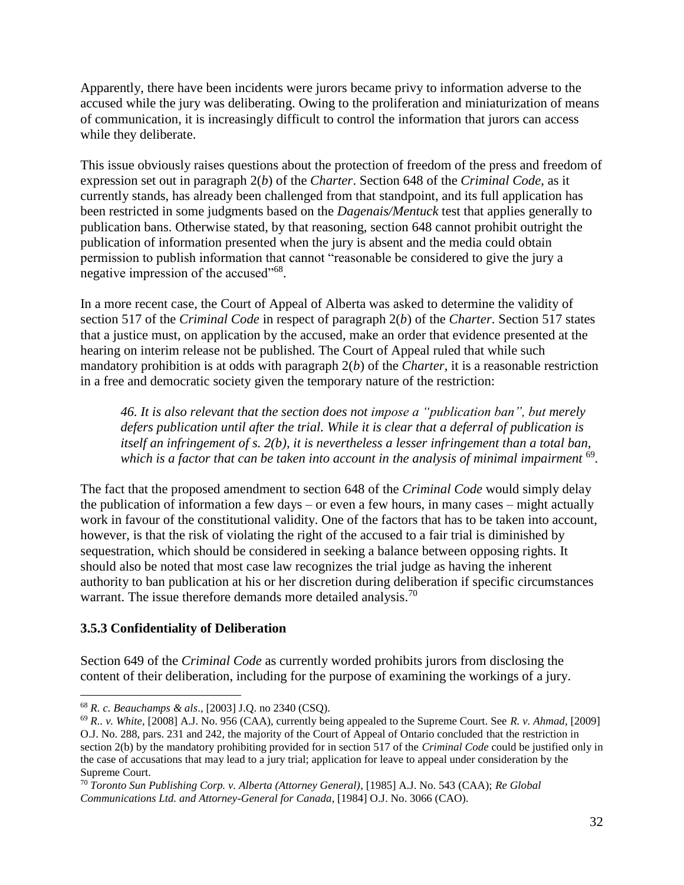Apparently, there have been incidents were jurors became privy to information adverse to the accused while the jury was deliberating. Owing to the proliferation and miniaturization of means of communication, it is increasingly difficult to control the information that jurors can access while they deliberate.

This issue obviously raises questions about the protection of freedom of the press and freedom of expression set out in paragraph 2(*b*) of the *Charter*. Section 648 of the *Criminal Code*, as it currently stands, has already been challenged from that standpoint, and its full application has been restricted in some judgments based on the *Dagenais/Mentuck* test that applies generally to publication bans. Otherwise stated, by that reasoning, section 648 cannot prohibit outright the publication of information presented when the jury is absent and the media could obtain permission to publish information that cannot "reasonable be considered to give the jury a negative impression of the accused"<sup>68</sup>.

In a more recent case, the Court of Appeal of Alberta was asked to determine the validity of section 517 of the *Criminal Code* in respect of paragraph 2(*b*) of the *Charter*. Section 517 states that a justice must, on application by the accused, make an order that evidence presented at the hearing on interim release not be published. The Court of Appeal ruled that while such mandatory prohibition is at odds with paragraph 2(*b*) of the *Charter*, it is a reasonable restriction in a free and democratic society given the temporary nature of the restriction:

*46. It is also relevant that the section does not impose a "publication ban", but merely defers publication until after the trial. While it is clear that a deferral of publication is itself an infringement of s. 2(b), it is nevertheless a lesser infringement than a total ban, which is a factor that can be taken into account in the analysis of minimal impairment* <sup>69</sup> *.*

The fact that the proposed amendment to section 648 of the *Criminal Code* would simply delay the publication of information a few days – or even a few hours, in many cases – might actually work in favour of the constitutional validity. One of the factors that has to be taken into account, however, is that the risk of violating the right of the accused to a fair trial is diminished by sequestration, which should be considered in seeking a balance between opposing rights. It should also be noted that most case law recognizes the trial judge as having the inherent authority to ban publication at his or her discretion during deliberation if specific circumstances warrant. The issue therefore demands more detailed analysis.<sup>70</sup>

#### <span id="page-32-0"></span>**3.5.3 Confidentiality of Deliberation**

 $\overline{a}$ 

Section 649 of the *Criminal Code* as currently worded prohibits jurors from disclosing the content of their deliberation, including for the purpose of examining the workings of a jury.

<sup>68</sup> *R. c. Beauchamps & als*., [2003] J.Q. no 2340 (CSQ).

<sup>69</sup> *R.. v. White*, [2008] A.J. No. 956 (CAA), currently being appealed to the Supreme Court. See *R. v. Ahmad*, [2009] O.J. No. 288, pars. 231 and 242, the majority of the Court of Appeal of Ontario concluded that the restriction in section 2(b) by the mandatory prohibiting provided for in section 517 of the *Criminal Code* could be justified only in the case of accusations that may lead to a jury trial; application for leave to appeal under consideration by the Supreme Court.

<sup>70</sup> *Toronto Sun Publishing Corp. v. Alberta (Attorney General)*, [1985] A.J. No. 543 (CAA); *Re Global Communications Ltd. and Attorney-General for Canada*, [1984] O.J. No. 3066 (CAO).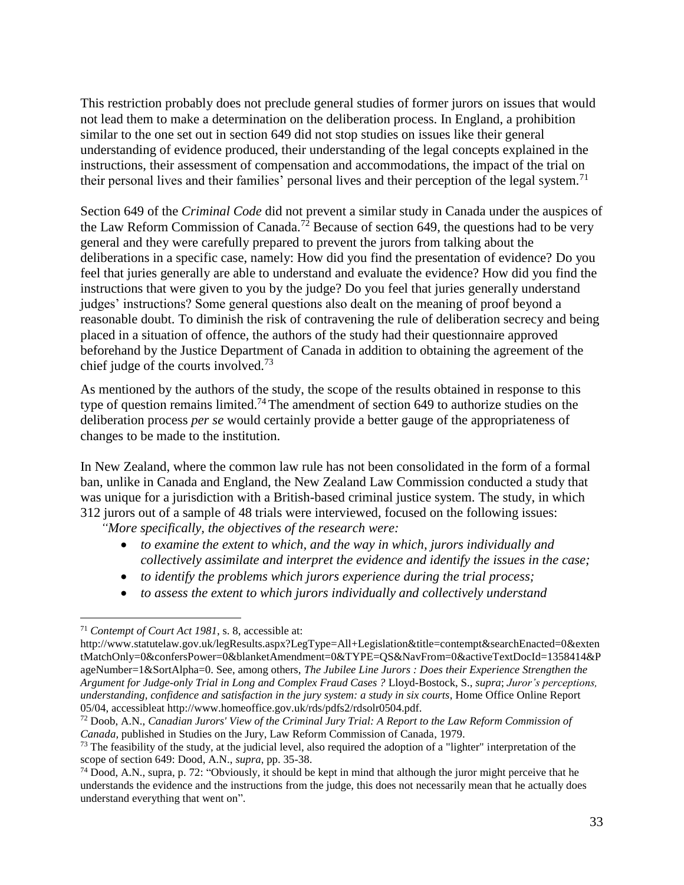This restriction probably does not preclude general studies of former jurors on issues that would not lead them to make a determination on the deliberation process. In England, a prohibition similar to the one set out in section 649 did not stop studies on issues like their general understanding of evidence produced, their understanding of the legal concepts explained in the instructions, their assessment of compensation and accommodations, the impact of the trial on their personal lives and their families' personal lives and their perception of the legal system.<sup>71</sup>

Section 649 of the *Criminal Code* did not prevent a similar study in Canada under the auspices of the Law Reform Commission of Canada.<sup>72</sup> Because of section 649, the questions had to be very general and they were carefully prepared to prevent the jurors from talking about the deliberations in a specific case, namely: How did you find the presentation of evidence? Do you feel that juries generally are able to understand and evaluate the evidence? How did you find the instructions that were given to you by the judge? Do you feel that juries generally understand judges' instructions? Some general questions also dealt on the meaning of proof beyond a reasonable doubt. To diminish the risk of contravening the rule of deliberation secrecy and being placed in a situation of offence, the authors of the study had their questionnaire approved beforehand by the Justice Department of Canada in addition to obtaining the agreement of the chief judge of the courts involved.<sup>73</sup>

As mentioned by the authors of the study, the scope of the results obtained in response to this type of question remains limited.<sup>74</sup>The amendment of section 649 to authorize studies on the deliberation process *per se* would certainly provide a better gauge of the appropriateness of changes to be made to the institution.

In New Zealand, where the common law rule has not been consolidated in the form of a formal ban, unlike in Canada and England, the New Zealand Law Commission conducted a study that was unique for a jurisdiction with a British-based criminal justice system. The study, in which 312 jurors out of a sample of 48 trials were interviewed, focused on the following issues:

*"More specifically, the objectives of the research were:*

- *to examine the extent to which, and the way in which, jurors individually and collectively assimilate and interpret the evidence and identify the issues in the case;*
- *to identify the problems which jurors experience during the trial process;*
- *to assess the extent to which jurors individually and collectively understand*

<sup>71</sup> *Contempt of Court Act 1981*, s. 8, accessible at:

http://www.statutelaw.gov.uk/legResults.aspx?LegType=All+Legislation&title=contempt&searchEnacted=0&exten tMatchOnly=0&confersPower=0&blanketAmendment=0&TYPE=QS&NavFrom=0&activeTextDocId=1358414&P ageNumber=1&SortAlpha=0. See, among others, *The Jubilee Line Jurors : Does their Experience Strengthen the Argument for Judge-only Trial in Long and Complex Fraud Cases ?* Lloyd-Bostock, S., *supra*; *Juror's perceptions, understanding, confidence and satisfaction in the jury system: a study in six courts*, Home Office Online Report 05/04, accessibleat http://www.homeoffice.gov.uk/rds/pdfs2/rdsolr0504.pdf.

<sup>72</sup> Doob, A.N., *Canadian Jurors' View of the Criminal Jury Trial: A Report to the Law Reform Commission of Canada,* published in Studies on the Jury, Law Reform Commission of Canada, 1979.

 $<sup>73</sup>$  The feasibility of the study, at the judicial level, also required the adoption of a "lighter" interpretation of the</sup> scope of section 649: Dood, A.N., *supra*, pp. 35-38.

<sup>&</sup>lt;sup>74</sup> Dood, A.N., supra, p. 72: "Obviously, it should be kept in mind that although the juror might perceive that he understands the evidence and the instructions from the judge, this does not necessarily mean that he actually does understand everything that went on".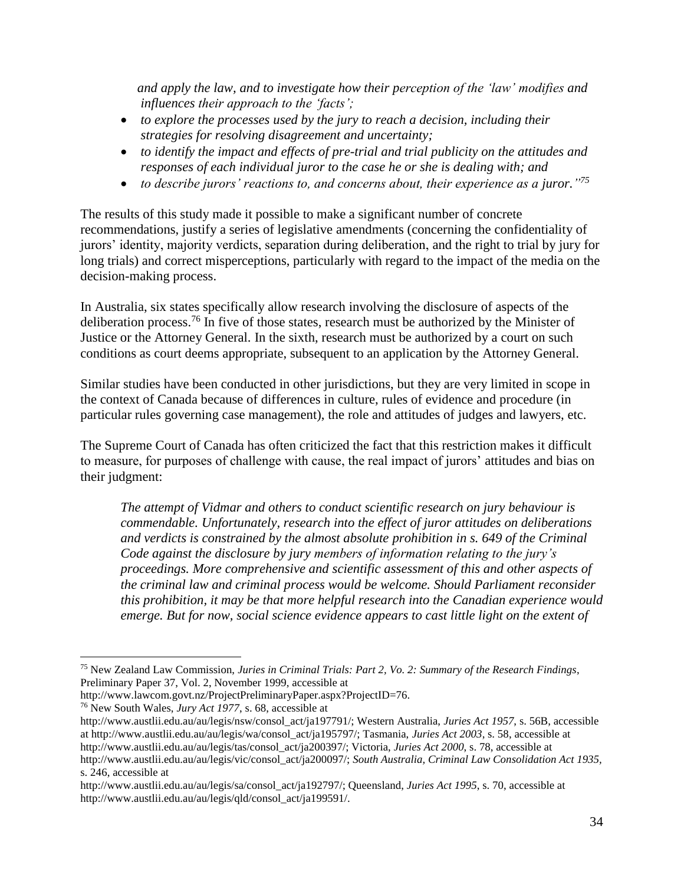*and apply the law, and to investigate how their perception of the 'law' modifies and influences their approach to the 'facts';*

- *to explore the processes used by the jury to reach a decision, including their strategies for resolving disagreement and uncertainty;*
- *to identify the impact and effects of pre-trial and trial publicity on the attitudes and responses of each individual juror to the case he or she is dealing with; and*
- to describe jurors' reactions to, and concerns about, their experience as a juror."<sup>75</sup>

The results of this study made it possible to make a significant number of concrete recommendations, justify a series of legislative amendments (concerning the confidentiality of jurors' identity, majority verdicts, separation during deliberation, and the right to trial by jury for long trials) and correct misperceptions, particularly with regard to the impact of the media on the decision-making process.

In Australia, six states specifically allow research involving the disclosure of aspects of the deliberation process.<sup>76</sup> In five of those states, research must be authorized by the Minister of Justice or the Attorney General. In the sixth, research must be authorized by a court on such conditions as court deems appropriate, subsequent to an application by the Attorney General.

Similar studies have been conducted in other jurisdictions, but they are very limited in scope in the context of Canada because of differences in culture, rules of evidence and procedure (in particular rules governing case management), the role and attitudes of judges and lawyers, etc.

The Supreme Court of Canada has often criticized the fact that this restriction makes it difficult to measure, for purposes of challenge with cause, the real impact of jurors' attitudes and bias on their judgment:

*The attempt of Vidmar and others to conduct scientific research on jury behaviour is commendable. Unfortunately, research into the effect of juror attitudes on deliberations and verdicts is constrained by the almost absolute prohibition in s. 649 of the Criminal Code against the disclosure by jury members of information relating to the jury's proceedings. More comprehensive and scientific assessment of this and other aspects of the criminal law and criminal process would be welcome. Should Parliament reconsider this prohibition, it may be that more helpful research into the Canadian experience would emerge. But for now, social science evidence appears to cast little light on the extent of* 

<sup>76</sup> New South Wales, *Jury Act 1977*, s. 68, accessible at

 $\overline{a}$ <sup>75</sup> New Zealand Law Commission, *Juries in Criminal Trials: Part 2, Vo. 2: Summary of the Research Findings*, Preliminary Paper 37, Vol. 2, November 1999, accessible at

http://www.lawcom.govt.nz/ProjectPreliminaryPaper.aspx?ProjectID=76.

http://www.austlii.edu.au/au/legis/nsw/consol\_act/ja197791/; Western Australia, *Juries Act 1957*, s. 56B, accessible at http://www.austlii.edu.au/au/legis/wa/consol\_act/ja195797/; Tasmania, *Juries Act 2003*, s. 58, accessible at http://www.austlii.edu.au/au/legis/tas/consol\_act/ja200397/; Victoria, *Juries Act 2000*, s. 78, accessible at http://www.austlii.edu.au/au/legis/vic/consol\_act/ja200097/; *South Australia, Criminal Law Consolidation Act 1935,*  s. 246, accessible at

http://www.austlii.edu.au/au/legis/sa/consol\_act/ja192797/; Queensland, *Juries Act 1995*, s. 70, accessible at http://www.austlii.edu.au/au/legis/qld/consol\_act/ja199591/.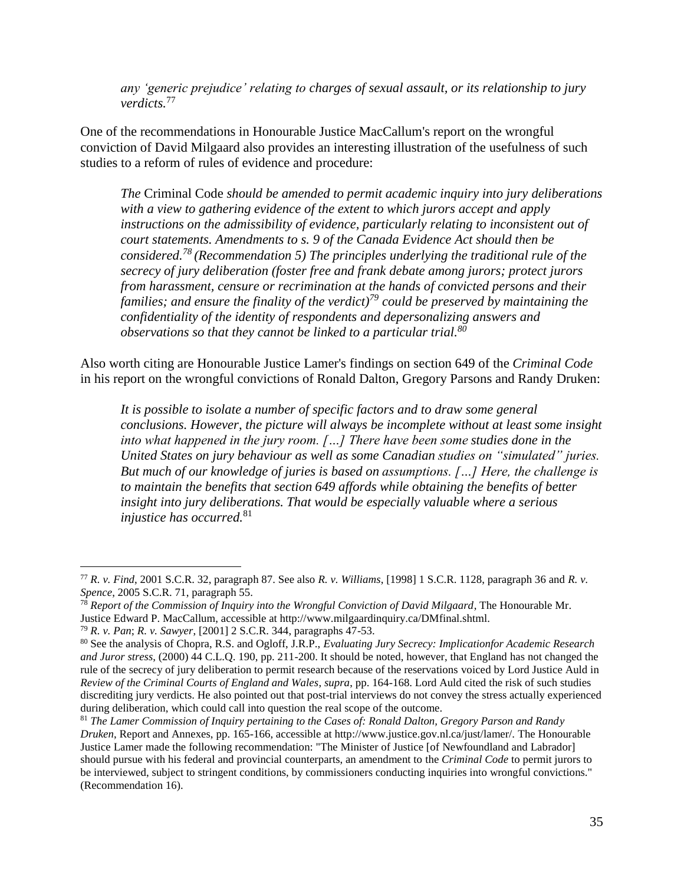*any 'generic prejudice' relating to charges of sexual assault, or its relationship to jury verdicts.*<sup>77</sup>

One of the recommendations in Honourable Justice MacCallum's report on the wrongful conviction of David Milgaard also provides an interesting illustration of the usefulness of such studies to a reform of rules of evidence and procedure:

*The* Criminal Code *should be amended to permit academic inquiry into jury deliberations with a view to gathering evidence of the extent to which jurors accept and apply instructions on the admissibility of evidence, particularly relating to inconsistent out of court statements. Amendments to s. 9 of the Canada Evidence Act should then be considered.<sup>78</sup> (Recommendation 5) The principles underlying the traditional rule of the secrecy of jury deliberation (foster free and frank debate among jurors; protect jurors from harassment, censure or recrimination at the hands of convicted persons and their families; and ensure the finality of the verdict)<sup>79</sup> could be preserved by maintaining the confidentiality of the identity of respondents and depersonalizing answers and observations so that they cannot be linked to a particular trial.<sup>80</sup>*

Also worth citing are Honourable Justice Lamer's findings on section 649 of the *Criminal Code* in his report on the wrongful convictions of Ronald Dalton, Gregory Parsons and Randy Druken:

*It is possible to isolate a number of specific factors and to draw some general conclusions. However, the picture will always be incomplete without at least some insight into what happened in the jury room. […] There have been some studies done in the United States on jury behaviour as well as some Canadian studies on "simulated" juries. But much of our knowledge of juries is based on assumptions. […] Here, the challenge is to maintain the benefits that section 649 affords while obtaining the benefits of better insight into jury deliberations. That would be especially valuable where a serious injustice has occurred.*<sup>81</sup>

<sup>77</sup> *R. v. Find*, 2001 S.C.R. 32, paragraph 87. See also *R. v. Williams*, [1998] 1 S.C.R. 1128, paragraph 36 and *R. v. Spence*, 2005 S.C.R. 71, paragraph 55.

<sup>78</sup> *Report of the Commission of Inquiry into the Wrongful Conviction of David Milgaard*, The Honourable Mr. Justice Edward P. MacCallum, accessible at http://www.milgaardinquiry.ca/DMfinal.shtml.

<sup>79</sup> *R. v. Pan*; *R. v. Sawyer*, [2001] 2 S.C.R. 344, paragraphs 47-53.

<sup>80</sup> See the analysis of Chopra, R.S. and Ogloff, J.R.P., *Evaluating Jury Secrecy: Implicationfor Academic Research and Juror stress*, (2000) 44 C.L.Q. 190, pp. 211-200. It should be noted, however, that England has not changed the rule of the secrecy of jury deliberation to permit research because of the reservations voiced by Lord Justice Auld in *Review of the Criminal Courts of England and Wales*, *supra*, pp. 164-168. Lord Auld cited the risk of such studies discrediting jury verdicts. He also pointed out that post-trial interviews do not convey the stress actually experienced during deliberation, which could call into question the real scope of the outcome.

<sup>81</sup> *The Lamer Commission of Inquiry pertaining to the Cases of: Ronald Dalton, Gregory Parson and Randy Druken*, Report and Annexes, pp. 165-166, accessible at http://www.justice.gov.nl.ca/just/lamer/. The Honourable Justice Lamer made the following recommendation: "The Minister of Justice [of Newfoundland and Labrador] should pursue with his federal and provincial counterparts, an amendment to the *Criminal Code* to permit jurors to be interviewed, subject to stringent conditions, by commissioners conducting inquiries into wrongful convictions." (Recommendation 16).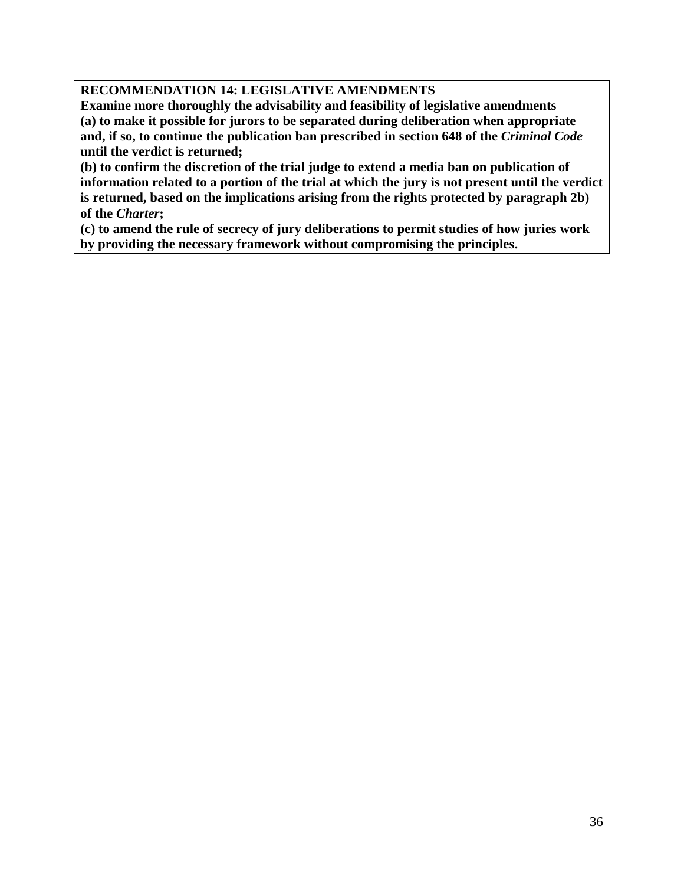## **RECOMMENDATION 14: LEGISLATIVE AMENDMENTS**

**Examine more thoroughly the advisability and feasibility of legislative amendments (a) to make it possible for jurors to be separated during deliberation when appropriate and, if so, to continue the publication ban prescribed in section 648 of the** *Criminal Code* **until the verdict is returned;**

**(b) to confirm the discretion of the trial judge to extend a media ban on publication of information related to a portion of the trial at which the jury is not present until the verdict is returned, based on the implications arising from the rights protected by paragraph 2b) of the** *Charter***;**

**(c) to amend the rule of secrecy of jury deliberations to permit studies of how juries work by providing the necessary framework without compromising the principles.**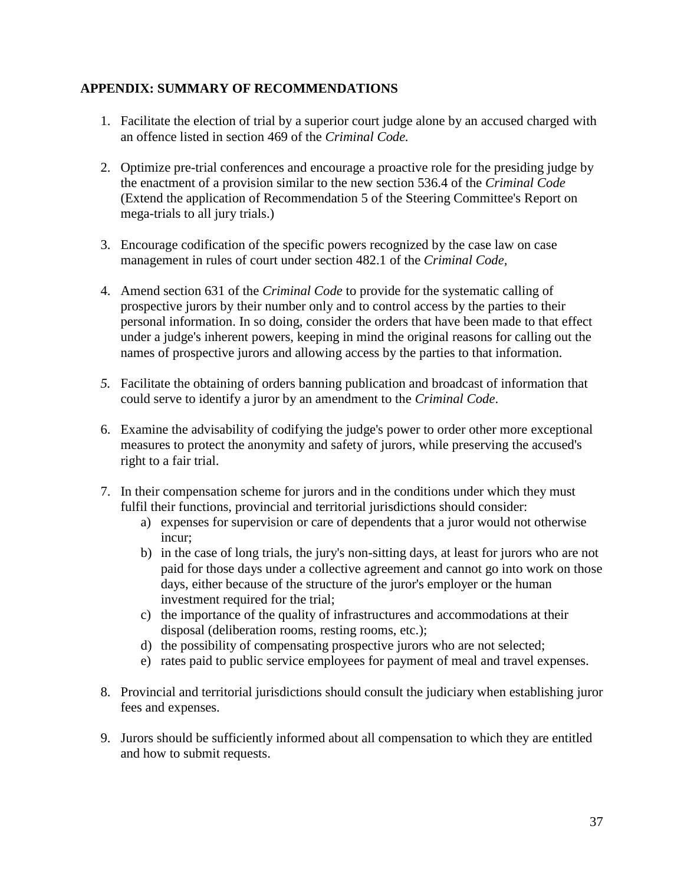#### <span id="page-37-0"></span>**APPENDIX: SUMMARY OF RECOMMENDATIONS**

- 1. Facilitate the election of trial by a superior court judge alone by an accused charged with an offence listed in section 469 of the *Criminal Code.*
- 2. Optimize pre-trial conferences and encourage a proactive role for the presiding judge by the enactment of a provision similar to the new section 536.4 of the *Criminal Code* (Extend the application of Recommendation 5 of the Steering Committee's Report on mega-trials to all jury trials.)
- 3. Encourage codification of the specific powers recognized by the case law on case management in rules of court under section 482.1 of the *Criminal Code,*
- 4. Amend section 631 of the *Criminal Code* to provide for the systematic calling of prospective jurors by their number only and to control access by the parties to their personal information. In so doing, consider the orders that have been made to that effect under a judge's inherent powers, keeping in mind the original reasons for calling out the names of prospective jurors and allowing access by the parties to that information.
- *5.* Facilitate the obtaining of orders banning publication and broadcast of information that could serve to identify a juror by an amendment to the *Criminal Code*.
- 6. Examine the advisability of codifying the judge's power to order other more exceptional measures to protect the anonymity and safety of jurors, while preserving the accused's right to a fair trial.
- 7. In their compensation scheme for jurors and in the conditions under which they must fulfil their functions, provincial and territorial jurisdictions should consider:
	- a) expenses for supervision or care of dependents that a juror would not otherwise incur;
	- b) in the case of long trials, the jury's non-sitting days, at least for jurors who are not paid for those days under a collective agreement and cannot go into work on those days, either because of the structure of the juror's employer or the human investment required for the trial;
	- c) the importance of the quality of infrastructures and accommodations at their disposal (deliberation rooms, resting rooms, etc.);
	- d) the possibility of compensating prospective jurors who are not selected;
	- e) rates paid to public service employees for payment of meal and travel expenses.
- 8. Provincial and territorial jurisdictions should consult the judiciary when establishing juror fees and expenses.
- 9. Jurors should be sufficiently informed about all compensation to which they are entitled and how to submit requests.